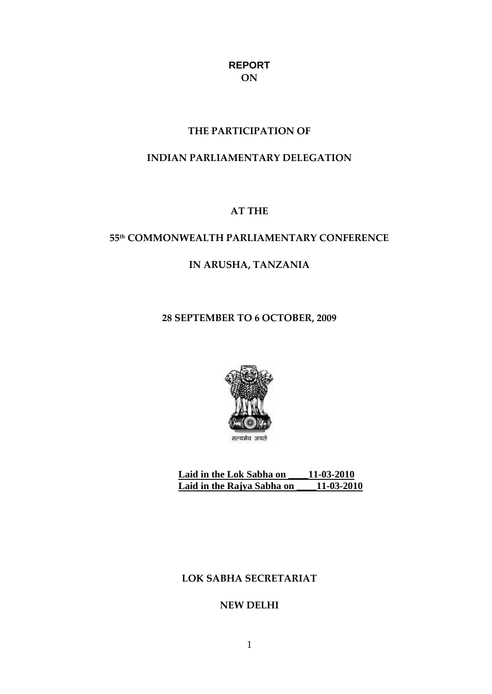## **REPORT ON**

## **THE PARTICIPATION OF**

# **INDIAN PARLIAMENTARY DELEGATION**

## **AT THE**

# **55th COMMONWEALTH PARLIAMENTARY CONFERENCE**

# **IN ARUSHA, TANZANIA**

## **28 SEPTEMBER TO 6 OCTOBER, 2009**



**Laid in the Lok Sabha on \_\_\_\_11-03-2010 Laid in the Rajya Sabha on \_\_\_\_11-03-2010**

## **LOK SABHA SECRETARIAT**

## **NEW DELHI**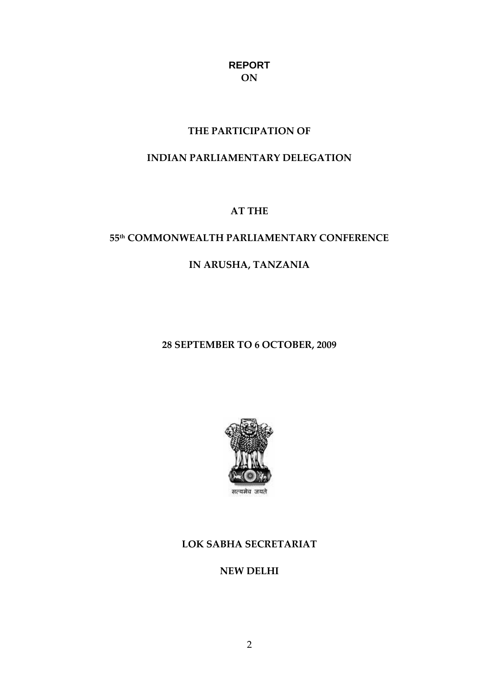# **REPORT ON**

## **THE PARTICIPATION OF**

# **INDIAN PARLIAMENTARY DELEGATION**

## **AT THE**

# **55th COMMONWEALTH PARLIAMENTARY CONFERENCE**

# **IN ARUSHA, TANZANIA**

## **28 SEPTEMBER TO 6 OCTOBER, 2009**



# **LOK SABHA SECRETARIAT**

**NEW DELHI**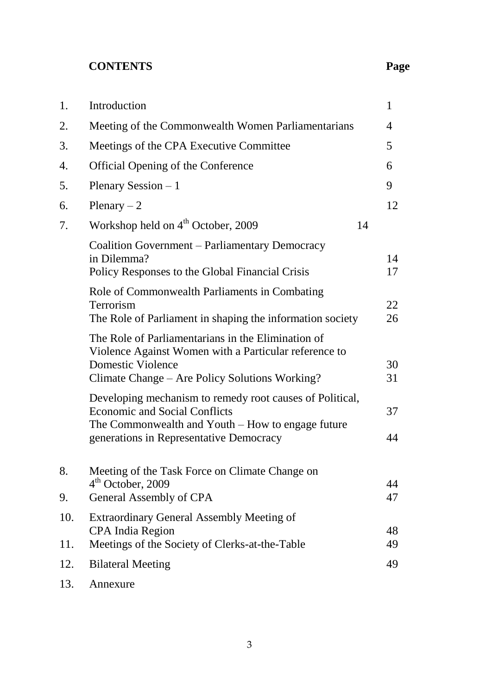# **CONTENTS Page**

| Meeting of the Commonwealth Women Parliamentarians<br>2.<br>4<br>5<br>Meetings of the CPA Executive Committee<br>3.<br>Official Opening of the Conference<br>4.<br>6<br>Plenary Session $-1$<br>9<br>5.<br>Plenary $-2$<br>12<br>6.<br>Workshop held on 4 <sup>th</sup> October, 2009<br>14<br>7.<br>Coalition Government – Parliamentary Democracy<br>in Dilemma?<br>14<br>Policy Responses to the Global Financial Crisis<br>17<br>Role of Commonwealth Parliaments in Combating<br>22<br>Terrorism<br>The Role of Parliament in shaping the information society<br>26<br>The Role of Parliamentarians in the Elimination of<br>Violence Against Women with a Particular reference to<br><b>Domestic Violence</b><br>30<br>Climate Change - Are Policy Solutions Working?<br>31<br>Developing mechanism to remedy root causes of Political,<br><b>Economic and Social Conflicts</b><br>37<br>The Commonwealth and Youth – How to engage future<br>generations in Representative Democracy<br>44<br>8.<br>Meeting of the Task Force on Climate Change on<br>$4th$ October, 2009<br>44<br>General Assembly of CPA<br>47<br>9.<br>10.<br><b>Extraordinary General Assembly Meeting of</b><br><b>CPA</b> India Region<br>48<br>Meetings of the Society of Clerks-at-the-Table<br>49<br>11.<br><b>Bilateral Meeting</b><br>49<br>12. | 1.  | Introduction | 1 |
|-----------------------------------------------------------------------------------------------------------------------------------------------------------------------------------------------------------------------------------------------------------------------------------------------------------------------------------------------------------------------------------------------------------------------------------------------------------------------------------------------------------------------------------------------------------------------------------------------------------------------------------------------------------------------------------------------------------------------------------------------------------------------------------------------------------------------------------------------------------------------------------------------------------------------------------------------------------------------------------------------------------------------------------------------------------------------------------------------------------------------------------------------------------------------------------------------------------------------------------------------------------------------------------------------------------------------------------|-----|--------------|---|
|                                                                                                                                                                                                                                                                                                                                                                                                                                                                                                                                                                                                                                                                                                                                                                                                                                                                                                                                                                                                                                                                                                                                                                                                                                                                                                                                   |     |              |   |
|                                                                                                                                                                                                                                                                                                                                                                                                                                                                                                                                                                                                                                                                                                                                                                                                                                                                                                                                                                                                                                                                                                                                                                                                                                                                                                                                   |     |              |   |
|                                                                                                                                                                                                                                                                                                                                                                                                                                                                                                                                                                                                                                                                                                                                                                                                                                                                                                                                                                                                                                                                                                                                                                                                                                                                                                                                   |     |              |   |
|                                                                                                                                                                                                                                                                                                                                                                                                                                                                                                                                                                                                                                                                                                                                                                                                                                                                                                                                                                                                                                                                                                                                                                                                                                                                                                                                   |     |              |   |
|                                                                                                                                                                                                                                                                                                                                                                                                                                                                                                                                                                                                                                                                                                                                                                                                                                                                                                                                                                                                                                                                                                                                                                                                                                                                                                                                   |     |              |   |
|                                                                                                                                                                                                                                                                                                                                                                                                                                                                                                                                                                                                                                                                                                                                                                                                                                                                                                                                                                                                                                                                                                                                                                                                                                                                                                                                   |     |              |   |
|                                                                                                                                                                                                                                                                                                                                                                                                                                                                                                                                                                                                                                                                                                                                                                                                                                                                                                                                                                                                                                                                                                                                                                                                                                                                                                                                   |     |              |   |
|                                                                                                                                                                                                                                                                                                                                                                                                                                                                                                                                                                                                                                                                                                                                                                                                                                                                                                                                                                                                                                                                                                                                                                                                                                                                                                                                   |     |              |   |
|                                                                                                                                                                                                                                                                                                                                                                                                                                                                                                                                                                                                                                                                                                                                                                                                                                                                                                                                                                                                                                                                                                                                                                                                                                                                                                                                   |     |              |   |
|                                                                                                                                                                                                                                                                                                                                                                                                                                                                                                                                                                                                                                                                                                                                                                                                                                                                                                                                                                                                                                                                                                                                                                                                                                                                                                                                   |     |              |   |
|                                                                                                                                                                                                                                                                                                                                                                                                                                                                                                                                                                                                                                                                                                                                                                                                                                                                                                                                                                                                                                                                                                                                                                                                                                                                                                                                   |     |              |   |
|                                                                                                                                                                                                                                                                                                                                                                                                                                                                                                                                                                                                                                                                                                                                                                                                                                                                                                                                                                                                                                                                                                                                                                                                                                                                                                                                   |     |              |   |
|                                                                                                                                                                                                                                                                                                                                                                                                                                                                                                                                                                                                                                                                                                                                                                                                                                                                                                                                                                                                                                                                                                                                                                                                                                                                                                                                   |     |              |   |
|                                                                                                                                                                                                                                                                                                                                                                                                                                                                                                                                                                                                                                                                                                                                                                                                                                                                                                                                                                                                                                                                                                                                                                                                                                                                                                                                   | 13. | Annexure     |   |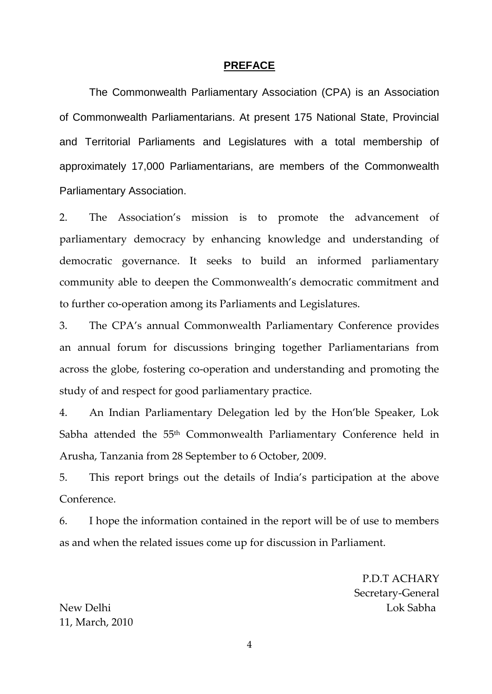#### **PREFACE**

The Commonwealth Parliamentary Association (CPA) is an Association of Commonwealth Parliamentarians. At present 175 National State, Provincial and Territorial Parliaments and Legislatures with a total membership of approximately 17,000 Parliamentarians, are members of the Commonwealth Parliamentary Association.

2. The Association's mission is to promote the advancement of parliamentary democracy by enhancing knowledge and understanding of democratic governance. It seeks to build an informed parliamentary community able to deepen the Commonwealth's democratic commitment and to further co-operation among its Parliaments and Legislatures.

3. The CPA's annual Commonwealth Parliamentary Conference provides an annual forum for discussions bringing together Parliamentarians from across the globe, fostering co-operation and understanding and promoting the study of and respect for good parliamentary practice.

4. An Indian Parliamentary Delegation led by the Hon'ble Speaker, Lok Sabha attended the 55<sup>th</sup> Commonwealth Parliamentary Conference held in Arusha, Tanzania from 28 September to 6 October, 2009.

5. This report brings out the details of India's participation at the above Conference.

6. I hope the information contained in the report will be of use to members as and when the related issues come up for discussion in Parliament.

P.D.T ACHARY Secretary-General New Delhi Lok Sabha

11, March, 2010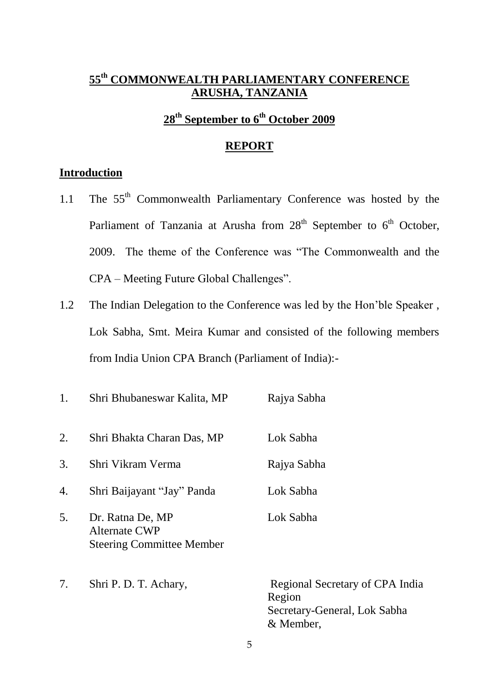# **55 th COMMONWEALTH PARLIAMENTARY CONFERENCE ARUSHA, TANZANIA**

# **28th September to 6th October 2009**

## **REPORT**

### **Introduction**

- 1.1 The 55<sup>th</sup> Commonwealth Parliamentary Conference was hosted by the Parliament of Tanzania at Arusha from  $28<sup>th</sup>$  September to  $6<sup>th</sup>$  October, 2009. The theme of the Conference was "The Commonwealth and the CPA – Meeting Future Global Challenges".
- 1.2 The Indian Delegation to the Conference was led by the Hon"ble Speaker , Lok Sabha, Smt. Meira Kumar and consisted of the following members from India Union CPA Branch (Parliament of India):-
- 1. Shri Bhubaneswar Kalita, MP Rajya Sabha 2. Shri Bhakta Charan Das, MP Lok Sabha 3. Shri Vikram Verma Rajya Sabha 4. Shri Baijayant "Jay" Panda Lok Sabha 5. Dr. Ratna De, MP Lok Sabha Alternate CWP Steering Committee Member 7. Shri P. D. T. Achary, Regional Secretary of CPA India Region Secretary-General, Lok Sabha & Member,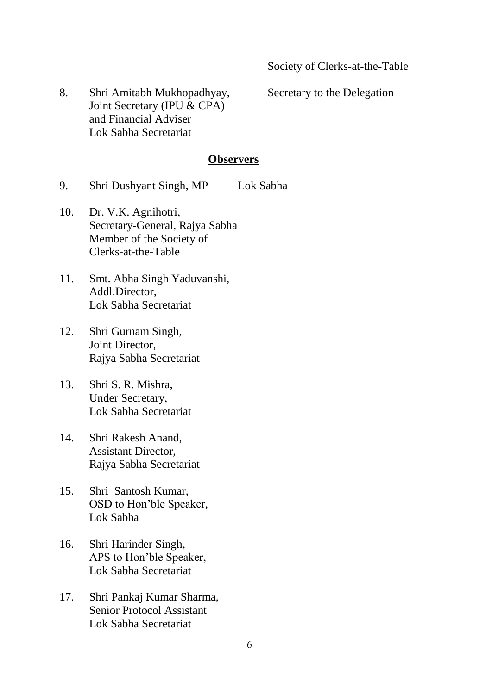8. Shri Amitabh Mukhopadhyay, Secretary to the Delegation Joint Secretary (IPU & CPA) and Financial Adviser Lok Sabha Secretariat

#### **Observers**

- 9. Shri Dushyant Singh, MP Lok Sabha
- 10. Dr. V.K. Agnihotri, Secretary-General, Rajya Sabha Member of the Society of Clerks-at-the-Table
- 11. Smt. Abha Singh Yaduvanshi, Addl.Director, Lok Sabha Secretariat
- 12. Shri Gurnam Singh, Joint Director, Rajya Sabha Secretariat
- 13. Shri S. R. Mishra, Under Secretary, Lok Sabha Secretariat
- 14. Shri Rakesh Anand, Assistant Director, Rajya Sabha Secretariat
- 15. Shri Santosh Kumar, OSD to Hon"ble Speaker, Lok Sabha
- 16. Shri Harinder Singh, APS to Hon"ble Speaker, Lok Sabha Secretariat
- 17. Shri Pankaj Kumar Sharma, Senior Protocol Assistant Lok Sabha Secretariat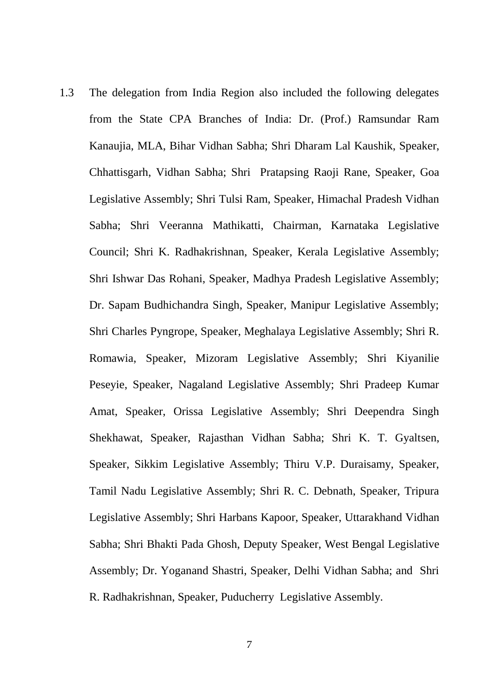1.3 The delegation from India Region also included the following delegates from the State CPA Branches of India: Dr. (Prof.) Ramsundar Ram Kanaujia, MLA, Bihar Vidhan Sabha; Shri Dharam Lal Kaushik, Speaker, Chhattisgarh, Vidhan Sabha; Shri Pratapsing Raoji Rane, Speaker, Goa Legislative Assembly; Shri Tulsi Ram, Speaker, Himachal Pradesh Vidhan Sabha; Shri Veeranna Mathikatti, Chairman, Karnataka Legislative Council; Shri K. Radhakrishnan, Speaker, Kerala Legislative Assembly; Shri Ishwar Das Rohani, Speaker, Madhya Pradesh Legislative Assembly; Dr. Sapam Budhichandra Singh, Speaker, Manipur Legislative Assembly; Shri Charles Pyngrope, Speaker, Meghalaya Legislative Assembly; Shri R. Romawia, Speaker, Mizoram Legislative Assembly; Shri Kiyanilie Peseyie, Speaker, Nagaland Legislative Assembly; Shri Pradeep Kumar Amat, Speaker, Orissa Legislative Assembly; Shri Deependra Singh Shekhawat, Speaker, Rajasthan Vidhan Sabha; Shri K. T. Gyaltsen, Speaker, Sikkim Legislative Assembly; Thiru V.P. Duraisamy, Speaker, Tamil Nadu Legislative Assembly; Shri R. C. Debnath, Speaker, Tripura Legislative Assembly; Shri Harbans Kapoor, Speaker, Uttarakhand Vidhan Sabha; Shri Bhakti Pada Ghosh, Deputy Speaker, West Bengal Legislative Assembly; Dr. Yoganand Shastri, Speaker, Delhi Vidhan Sabha; and Shri R. Radhakrishnan, Speaker, Puducherry Legislative Assembly.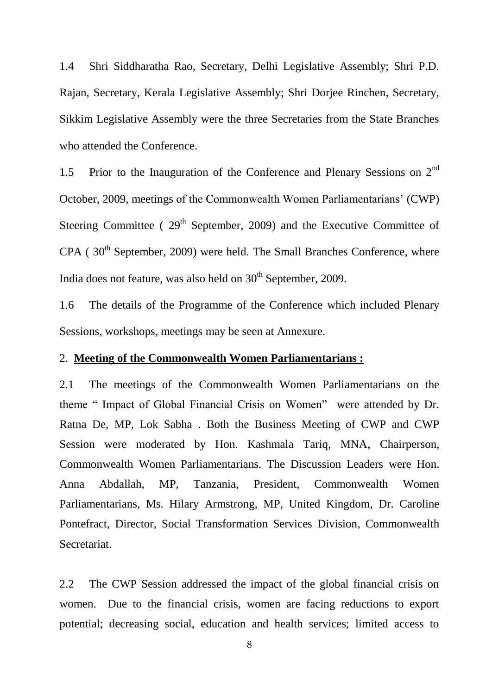1.4 Shri Siddharatha Rao, Secretary, Delhi Legislative Assembly; Shri P.D. Rajan, Secretary, Kerala Legislative Assembly; Shri Dorjee Rinchen, Secretary, Sikkim Legislative Assembly were the three Secretaries from the State Branches who attended the Conference.

1.5 Prior to the Inauguration of the Conference and Plenary Sessions on 2<sup>nd</sup> October, 2009, meetings of the Commonwealth Women Parliamentarians" (CWP) Steering Committee ( $29<sup>th</sup>$  September, 2009) and the Executive Committee of  $CPA$  (30<sup>th</sup> September, 2009) were held. The Small Branches Conference, where India does not feature, was also held on  $30<sup>th</sup>$  September, 2009.

1.6 The details of the Programme of the Conference which included Plenary Sessions, workshops, meetings may be seen at Annexure.

#### 2. **Meeting of the Commonwealth Women Parliamentarians :**

2.1 The meetings of the Commonwealth Women Parliamentarians on the theme " Impact of Global Financial Crisis on Women" were attended by Dr. Ratna De, MP, Lok Sabha . Both the Business Meeting of CWP and CWP Session were moderated by Hon. Kashmala Tariq, MNA, Chairperson, Commonwealth Women Parliamentarians. The Discussion Leaders were Hon. Anna Abdallah, MP, Tanzania, President, Commonwealth Women Parliamentarians, Ms. Hilary Armstrong, MP, United Kingdom, Dr. Caroline Pontefract, Director, Social Transformation Services Division, Commonwealth Secretariat.

2.2 The CWP Session addressed the impact of the global financial crisis on women. Due to the financial crisis, women are facing reductions to export potential; decreasing social, education and health services; limited access to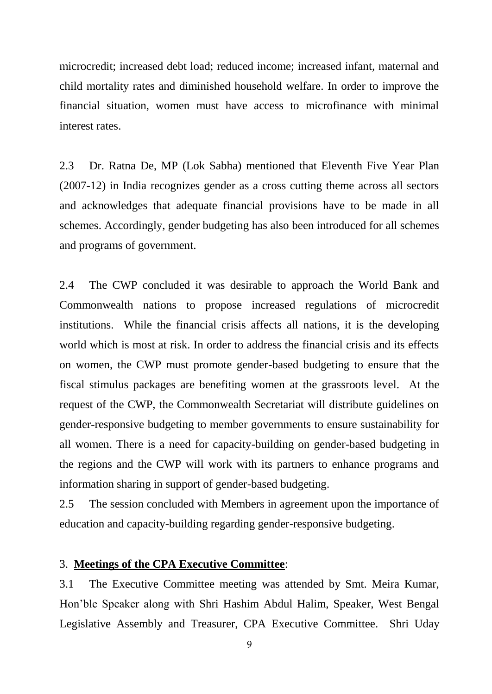microcredit; increased debt load; reduced income; increased infant, maternal and child mortality rates and diminished household welfare. In order to improve the financial situation, women must have access to microfinance with minimal interest rates.

2.3 Dr. Ratna De, MP (Lok Sabha) mentioned that Eleventh Five Year Plan (2007-12) in India recognizes gender as a cross cutting theme across all sectors and acknowledges that adequate financial provisions have to be made in all schemes. Accordingly, gender budgeting has also been introduced for all schemes and programs of government.

2.4 The CWP concluded it was desirable to approach the World Bank and Commonwealth nations to propose increased regulations of microcredit institutions. While the financial crisis affects all nations, it is the developing world which is most at risk. In order to address the financial crisis and its effects on women, the CWP must promote gender-based budgeting to ensure that the fiscal stimulus packages are benefiting women at the grassroots level. At the request of the CWP, the Commonwealth Secretariat will distribute guidelines on gender-responsive budgeting to member governments to ensure sustainability for all women. There is a need for capacity-building on gender-based budgeting in the regions and the CWP will work with its partners to enhance programs and information sharing in support of gender-based budgeting.

2.5 The session concluded with Members in agreement upon the importance of education and capacity-building regarding gender-responsive budgeting.

## 3. **Meetings of the CPA Executive Committee**:

3.1 The Executive Committee meeting was attended by Smt. Meira Kumar, Hon"ble Speaker along with Shri Hashim Abdul Halim, Speaker, West Bengal Legislative Assembly and Treasurer, CPA Executive Committee. Shri Uday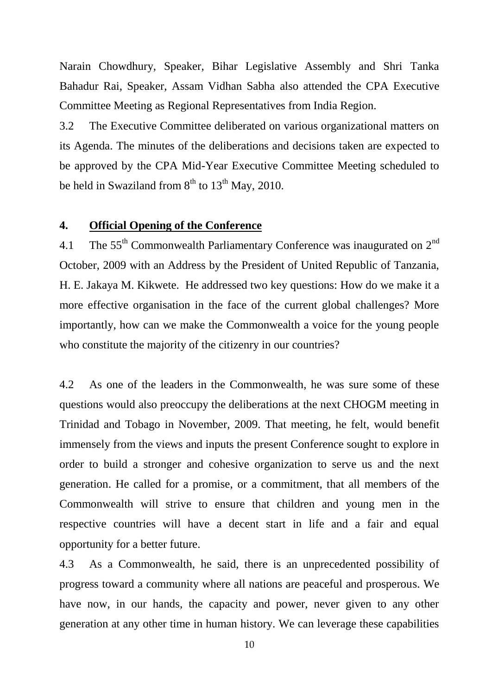Narain Chowdhury, Speaker, Bihar Legislative Assembly and Shri Tanka Bahadur Rai, Speaker, Assam Vidhan Sabha also attended the CPA Executive Committee Meeting as Regional Representatives from India Region.

3.2 The Executive Committee deliberated on various organizational matters on its Agenda. The minutes of the deliberations and decisions taken are expected to be approved by the CPA Mid-Year Executive Committee Meeting scheduled to be held in Swaziland from  $8<sup>th</sup>$  to  $13<sup>th</sup>$  May, 2010.

### **4. Official Opening of the Conference**

4.1 The  $55<sup>th</sup>$  Commonwealth Parliamentary Conference was inaugurated on  $2<sup>nd</sup>$ October, 2009 with an Address by the President of United Republic of Tanzania, H. E. Jakaya M. Kikwete. He addressed two key questions: How do we make it a more effective organisation in the face of the current global challenges? More importantly, how can we make the Commonwealth a voice for the young people who constitute the majority of the citizenry in our countries?

4.2 As one of the leaders in the Commonwealth, he was sure some of these questions would also preoccupy the deliberations at the next CHOGM meeting in Trinidad and Tobago in November, 2009. That meeting, he felt, would benefit immensely from the views and inputs the present Conference sought to explore in order to build a stronger and cohesive organization to serve us and the next generation. He called for a promise, or a commitment, that all members of the Commonwealth will strive to ensure that children and young men in the respective countries will have a decent start in life and a fair and equal opportunity for a better future.

4.3 As a Commonwealth, he said, there is an unprecedented possibility of progress toward a community where all nations are peaceful and prosperous. We have now, in our hands, the capacity and power, never given to any other generation at any other time in human history. We can leverage these capabilities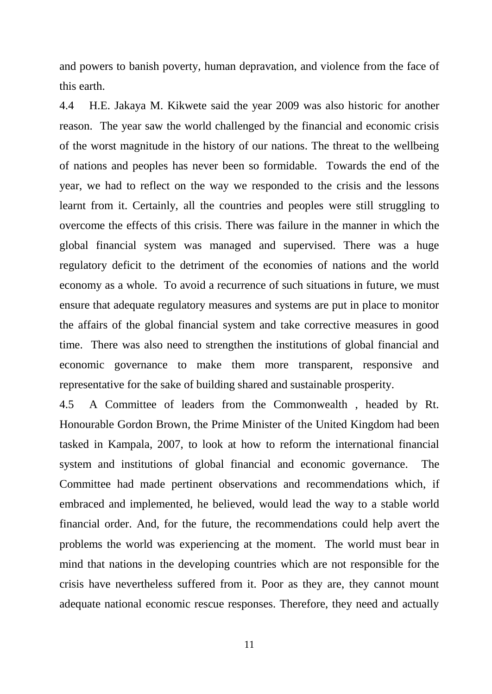and powers to banish poverty, human depravation, and violence from the face of this earth.

4.4 H.E. Jakaya M. Kikwete said the year 2009 was also historic for another reason. The year saw the world challenged by the financial and economic crisis of the worst magnitude in the history of our nations. The threat to the wellbeing of nations and peoples has never been so formidable. Towards the end of the year, we had to reflect on the way we responded to the crisis and the lessons learnt from it. Certainly, all the countries and peoples were still struggling to overcome the effects of this crisis. There was failure in the manner in which the global financial system was managed and supervised. There was a huge regulatory deficit to the detriment of the economies of nations and the world economy as a whole. To avoid a recurrence of such situations in future, we must ensure that adequate regulatory measures and systems are put in place to monitor the affairs of the global financial system and take corrective measures in good time. There was also need to strengthen the institutions of global financial and economic governance to make them more transparent, responsive and representative for the sake of building shared and sustainable prosperity.

4.5 A Committee of leaders from the Commonwealth , headed by Rt. Honourable Gordon Brown, the Prime Minister of the United Kingdom had been tasked in Kampala, 2007, to look at how to reform the international financial system and institutions of global financial and economic governance. The Committee had made pertinent observations and recommendations which, if embraced and implemented, he believed, would lead the way to a stable world financial order. And, for the future, the recommendations could help avert the problems the world was experiencing at the moment. The world must bear in mind that nations in the developing countries which are not responsible for the crisis have nevertheless suffered from it. Poor as they are, they cannot mount adequate national economic rescue responses. Therefore, they need and actually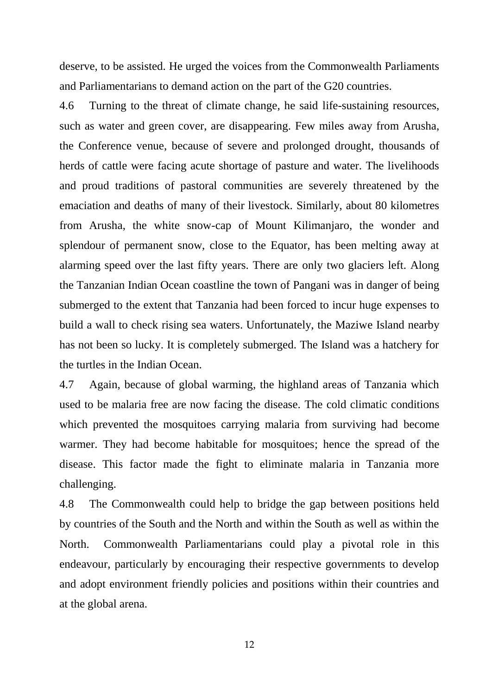deserve, to be assisted. He urged the voices from the Commonwealth Parliaments and Parliamentarians to demand action on the part of the G20 countries.

4.6 Turning to the threat of climate change, he said life-sustaining resources, such as water and green cover, are disappearing. Few miles away from Arusha, the Conference venue, because of severe and prolonged drought, thousands of herds of cattle were facing acute shortage of pasture and water. The livelihoods and proud traditions of pastoral communities are severely threatened by the emaciation and deaths of many of their livestock. Similarly, about 80 kilometres from Arusha, the white snow-cap of Mount Kilimanjaro, the wonder and splendour of permanent snow, close to the Equator, has been melting away at alarming speed over the last fifty years. There are only two glaciers left. Along the Tanzanian Indian Ocean coastline the town of Pangani was in danger of being submerged to the extent that Tanzania had been forced to incur huge expenses to build a wall to check rising sea waters. Unfortunately, the Maziwe Island nearby has not been so lucky. It is completely submerged. The Island was a hatchery for the turtles in the Indian Ocean.

4.7 Again, because of global warming, the highland areas of Tanzania which used to be malaria free are now facing the disease. The cold climatic conditions which prevented the mosquitoes carrying malaria from surviving had become warmer. They had become habitable for mosquitoes; hence the spread of the disease. This factor made the fight to eliminate malaria in Tanzania more challenging.

4.8 The Commonwealth could help to bridge the gap between positions held by countries of the South and the North and within the South as well as within the North. Commonwealth Parliamentarians could play a pivotal role in this endeavour, particularly by encouraging their respective governments to develop and adopt environment friendly policies and positions within their countries and at the global arena.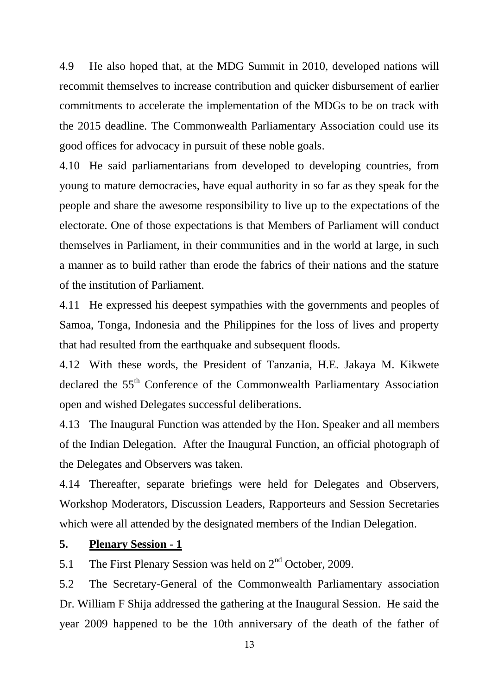4.9 He also hoped that, at the MDG Summit in 2010, developed nations will recommit themselves to increase contribution and quicker disbursement of earlier commitments to accelerate the implementation of the MDGs to be on track with the 2015 deadline. The Commonwealth Parliamentary Association could use its good offices for advocacy in pursuit of these noble goals.

4.10 He said parliamentarians from developed to developing countries, from young to mature democracies, have equal authority in so far as they speak for the people and share the awesome responsibility to live up to the expectations of the electorate. One of those expectations is that Members of Parliament will conduct themselves in Parliament, in their communities and in the world at large, in such a manner as to build rather than erode the fabrics of their nations and the stature of the institution of Parliament.

4.11 He expressed his deepest sympathies with the governments and peoples of Samoa, Tonga, Indonesia and the Philippines for the loss of lives and property that had resulted from the earthquake and subsequent floods.

4.12 With these words, the President of Tanzania, H.E. Jakaya M. Kikwete declared the 55<sup>th</sup> Conference of the Commonwealth Parliamentary Association open and wished Delegates successful deliberations.

4.13 The Inaugural Function was attended by the Hon. Speaker and all members of the Indian Delegation. After the Inaugural Function, an official photograph of the Delegates and Observers was taken.

4.14 Thereafter, separate briefings were held for Delegates and Observers, Workshop Moderators, Discussion Leaders, Rapporteurs and Session Secretaries which were all attended by the designated members of the Indian Delegation.

## **5. Plenary Session - 1**

5.1 The First Plenary Session was held on  $2<sup>nd</sup>$  October, 2009.

5.2 The Secretary-General of the Commonwealth Parliamentary association Dr. William F Shija addressed the gathering at the Inaugural Session. He said the year 2009 happened to be the 10th anniversary of the death of the father of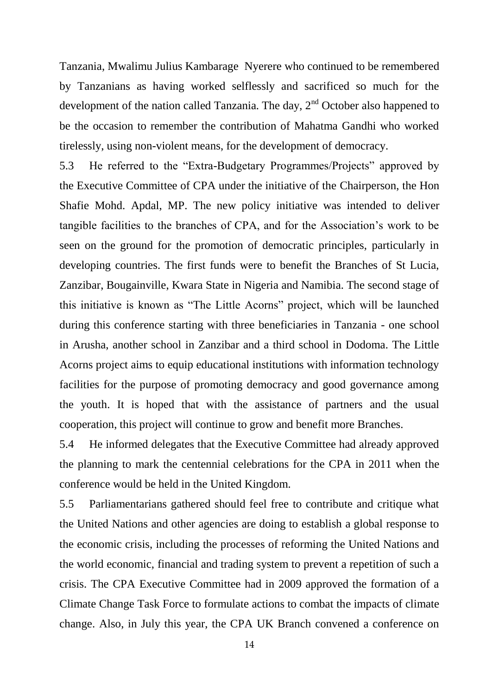Tanzania, Mwalimu Julius Kambarage Nyerere who continued to be remembered by Tanzanians as having worked selflessly and sacrificed so much for the development of the nation called Tanzania. The day,  $2<sup>nd</sup>$  October also happened to be the occasion to remember the contribution of Mahatma Gandhi who worked tirelessly, using non-violent means, for the development of democracy.

5.3 He referred to the "Extra-Budgetary Programmes/Projects" approved by the Executive Committee of CPA under the initiative of the Chairperson, the Hon Shafie Mohd. Apdal, MP. The new policy initiative was intended to deliver tangible facilities to the branches of CPA, and for the Association"s work to be seen on the ground for the promotion of democratic principles, particularly in developing countries. The first funds were to benefit the Branches of St Lucia, Zanzibar, Bougainville, Kwara State in Nigeria and Namibia. The second stage of this initiative is known as "The Little Acorns" project, which will be launched during this conference starting with three beneficiaries in Tanzania - one school in Arusha, another school in Zanzibar and a third school in Dodoma. The Little Acorns project aims to equip educational institutions with information technology facilities for the purpose of promoting democracy and good governance among the youth. It is hoped that with the assistance of partners and the usual cooperation, this project will continue to grow and benefit more Branches.

5.4 He informed delegates that the Executive Committee had already approved the planning to mark the centennial celebrations for the CPA in 2011 when the conference would be held in the United Kingdom.

5.5 Parliamentarians gathered should feel free to contribute and critique what the United Nations and other agencies are doing to establish a global response to the economic crisis, including the processes of reforming the United Nations and the world economic, financial and trading system to prevent a repetition of such a crisis. The CPA Executive Committee had in 2009 approved the formation of a Climate Change Task Force to formulate actions to combat the impacts of climate change. Also, in July this year, the CPA UK Branch convened a conference on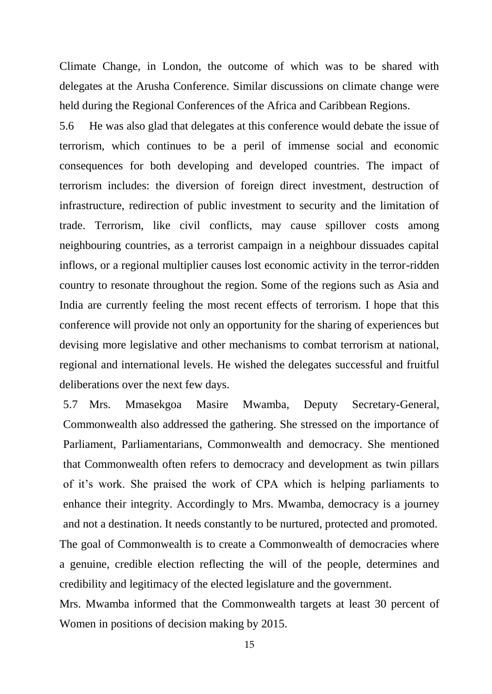Climate Change, in London, the outcome of which was to be shared with delegates at the Arusha Conference. Similar discussions on climate change were held during the Regional Conferences of the Africa and Caribbean Regions.

5.6 He was also glad that delegates at this conference would debate the issue of terrorism, which continues to be a peril of immense social and economic consequences for both developing and developed countries. The impact of terrorism includes: the diversion of foreign direct investment, destruction of infrastructure, redirection of public investment to security and the limitation of trade. Terrorism, like civil conflicts, may cause spillover costs among neighbouring countries, as a terrorist campaign in a neighbour dissuades capital inflows, or a regional multiplier causes lost economic activity in the terror-ridden country to resonate throughout the region. Some of the regions such as Asia and India are currently feeling the most recent effects of terrorism. I hope that this conference will provide not only an opportunity for the sharing of experiences but devising more legislative and other mechanisms to combat terrorism at national, regional and international levels. He wished the delegates successful and fruitful deliberations over the next few days.

5.7 Mrs. Mmasekgoa Masire Mwamba, Deputy Secretary-General, Commonwealth also addressed the gathering. She stressed on the importance of Parliament, Parliamentarians, Commonwealth and democracy. She mentioned that Commonwealth often refers to democracy and development as twin pillars of it"s work. She praised the work of CPA which is helping parliaments to enhance their integrity. Accordingly to Mrs. Mwamba, democracy is a journey and not a destination. It needs constantly to be nurtured, protected and promoted. The goal of Commonwealth is to create a Commonwealth of democracies where a genuine, credible election reflecting the will of the people, determines and credibility and legitimacy of the elected legislature and the government.

Mrs. Mwamba informed that the Commonwealth targets at least 30 percent of Women in positions of decision making by 2015.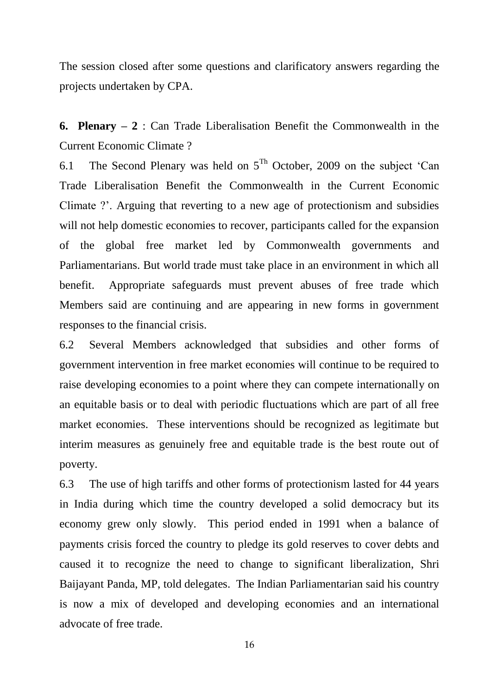The session closed after some questions and clarificatory answers regarding the projects undertaken by CPA.

**6. Plenary – 2** : Can Trade Liberalisation Benefit the Commonwealth in the Current Economic Climate ?

6.1 The Second Plenary was held on  $5^{Th}$  October, 2009 on the subject 'Can Trade Liberalisation Benefit the Commonwealth in the Current Economic Climate ?'. Arguing that reverting to a new age of protectionism and subsidies will not help domestic economies to recover, participants called for the expansion of the global free market led by Commonwealth governments and Parliamentarians. But world trade must take place in an environment in which all benefit. Appropriate safeguards must prevent abuses of free trade which Members said are continuing and are appearing in new forms in government responses to the financial crisis.

6.2 Several Members acknowledged that subsidies and other forms of government intervention in free market economies will continue to be required to raise developing economies to a point where they can compete internationally on an equitable basis or to deal with periodic fluctuations which are part of all free market economies. These interventions should be recognized as legitimate but interim measures as genuinely free and equitable trade is the best route out of poverty.

6.3 The use of high tariffs and other forms of protectionism lasted for 44 years in India during which time the country developed a solid democracy but its economy grew only slowly. This period ended in 1991 when a balance of payments crisis forced the country to pledge its gold reserves to cover debts and caused it to recognize the need to change to significant liberalization, Shri Baijayant Panda, MP, told delegates. The Indian Parliamentarian said his country is now a mix of developed and developing economies and an international advocate of free trade.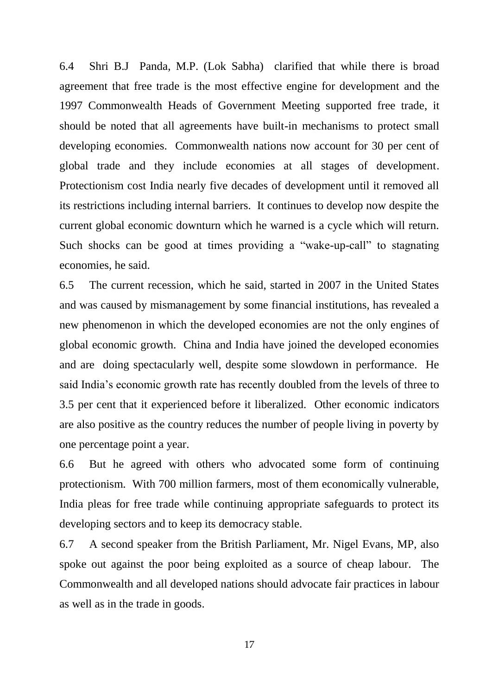6.4 Shri B.J Panda, M.P. (Lok Sabha) clarified that while there is broad agreement that free trade is the most effective engine for development and the 1997 Commonwealth Heads of Government Meeting supported free trade, it should be noted that all agreements have built-in mechanisms to protect small developing economies. Commonwealth nations now account for 30 per cent of global trade and they include economies at all stages of development. Protectionism cost India nearly five decades of development until it removed all its restrictions including internal barriers. It continues to develop now despite the current global economic downturn which he warned is a cycle which will return. Such shocks can be good at times providing a "wake-up-call" to stagnating economies, he said.

6.5 The current recession, which he said, started in 2007 in the United States and was caused by mismanagement by some financial institutions, has revealed a new phenomenon in which the developed economies are not the only engines of global economic growth. China and India have joined the developed economies and are doing spectacularly well, despite some slowdown in performance. He said India"s economic growth rate has recently doubled from the levels of three to 3.5 per cent that it experienced before it liberalized. Other economic indicators are also positive as the country reduces the number of people living in poverty by one percentage point a year.

6.6 But he agreed with others who advocated some form of continuing protectionism. With 700 million farmers, most of them economically vulnerable, India pleas for free trade while continuing appropriate safeguards to protect its developing sectors and to keep its democracy stable.

6.7 A second speaker from the British Parliament, Mr. Nigel Evans, MP, also spoke out against the poor being exploited as a source of cheap labour. The Commonwealth and all developed nations should advocate fair practices in labour as well as in the trade in goods.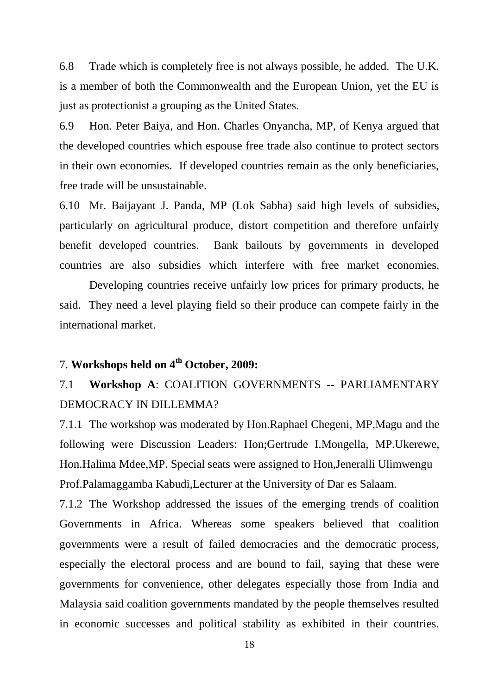6.8 Trade which is completely free is not always possible, he added. The U.K. is a member of both the Commonwealth and the European Union, yet the EU is just as protectionist a grouping as the United States.

6.9 Hon. Peter Baiya, and Hon. Charles Onyancha, MP, of Kenya argued that the developed countries which espouse free trade also continue to protect sectors in their own economies. If developed countries remain as the only beneficiaries, free trade will be unsustainable.

6.10 Mr. Baijayant J. Panda, MP (Lok Sabha) said high levels of subsidies, particularly on agricultural produce, distort competition and therefore unfairly benefit developed countries. Bank bailouts by governments in developed countries are also subsidies which interfere with free market economies.

Developing countries receive unfairly low prices for primary products, he said. They need a level playing field so their produce can compete fairly in the international market.

# 7. **Workshops held on 4th October, 2009:**

# 7.1 **Workshop A**: COALITION GOVERNMENTS -- PARLIAMENTARY DEMOCRACY IN DILLEMMA?

7.1.1 The workshop was moderated by Hon.Raphael Chegeni, MP,Magu and the following were Discussion Leaders: Hon;Gertrude I.Mongella, MP.Ukerewe, Hon.Halima Mdee,MP. Special seats were assigned to Hon,Jeneralli Ulimwengu Prof.Palamaggamba Kabudi,Lecturer at the University of Dar es Salaam.

7.1.2 The Workshop addressed the issues of the emerging trends of coalition Governments in Africa. Whereas some speakers believed that coalition governments were a result of failed democracies and the democratic process, especially the electoral process and are bound to fail, saying that these were governments for convenience, other delegates especially those from India and Malaysia said coalition governments mandated by the people themselves resulted in economic successes and political stability as exhibited in their countries.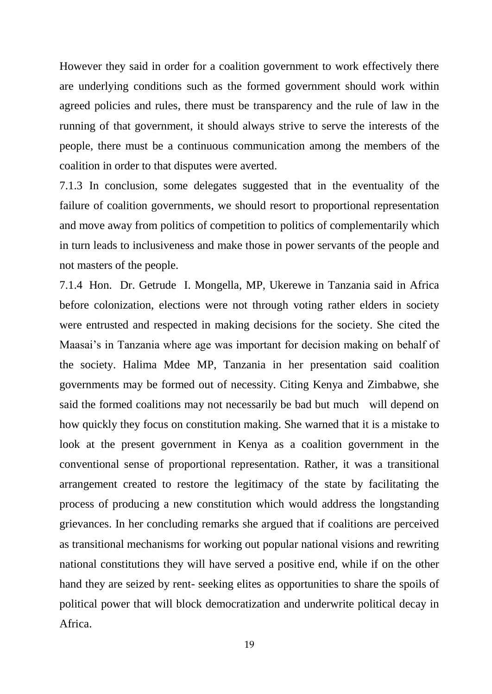However they said in order for a coalition government to work effectively there are underlying conditions such as the formed government should work within agreed policies and rules, there must be transparency and the rule of law in the running of that government, it should always strive to serve the interests of the people, there must be a continuous communication among the members of the coalition in order to that disputes were averted.

7.1.3 In conclusion, some delegates suggested that in the eventuality of the failure of coalition governments, we should resort to proportional representation and move away from politics of competition to politics of complementarily which in turn leads to inclusiveness and make those in power servants of the people and not masters of the people.

7.1.4 Hon. Dr. Getrude I. Mongella, MP, Ukerewe in Tanzania said in Africa before colonization, elections were not through voting rather elders in society were entrusted and respected in making decisions for the society. She cited the Maasai"s in Tanzania where age was important for decision making on behalf of the society. Halima Mdee MP, Tanzania in her presentation said coalition governments may be formed out of necessity. Citing Kenya and Zimbabwe, she said the formed coalitions may not necessarily be bad but much will depend on how quickly they focus on constitution making. She warned that it is a mistake to look at the present government in Kenya as a coalition government in the conventional sense of proportional representation. Rather, it was a transitional arrangement created to restore the legitimacy of the state by facilitating the process of producing a new constitution which would address the longstanding grievances. In her concluding remarks she argued that if coalitions are perceived as transitional mechanisms for working out popular national visions and rewriting national constitutions they will have served a positive end, while if on the other hand they are seized by rent- seeking elites as opportunities to share the spoils of political power that will block democratization and underwrite political decay in Africa.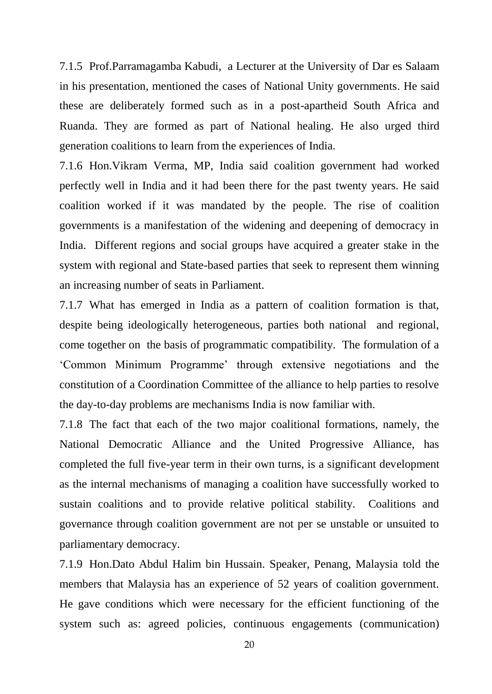7.1.5 Prof.Parramagamba Kabudi, a Lecturer at the University of Dar es Salaam in his presentation, mentioned the cases of National Unity governments. He said these are deliberately formed such as in a post-apartheid South Africa and Ruanda. They are formed as part of National healing. He also urged third generation coalitions to learn from the experiences of India.

7.1.6 Hon.Vikram Verma, MP, India said coalition government had worked perfectly well in India and it had been there for the past twenty years. He said coalition worked if it was mandated by the people. The rise of coalition governments is a manifestation of the widening and deepening of democracy in India. Different regions and social groups have acquired a greater stake in the system with regional and State-based parties that seek to represent them winning an increasing number of seats in Parliament.

7.1.7 What has emerged in India as a pattern of coalition formation is that, despite being ideologically heterogeneous, parties both national and regional, come together on the basis of programmatic compatibility. The formulation of a "Common Minimum Programme" through extensive negotiations and the constitution of a Coordination Committee of the alliance to help parties to resolve the day-to-day problems are mechanisms India is now familiar with.

7.1.8 The fact that each of the two major coalitional formations, namely, the National Democratic Alliance and the United Progressive Alliance, has completed the full five-year term in their own turns, is a significant development as the internal mechanisms of managing a coalition have successfully worked to sustain coalitions and to provide relative political stability. Coalitions and governance through coalition government are not per se unstable or unsuited to parliamentary democracy.

7.1.9 Hon.Dato Abdul Halim bin Hussain. Speaker, Penang, Malaysia told the members that Malaysia has an experience of 52 years of coalition government. He gave conditions which were necessary for the efficient functioning of the system such as: agreed policies, continuous engagements (communication)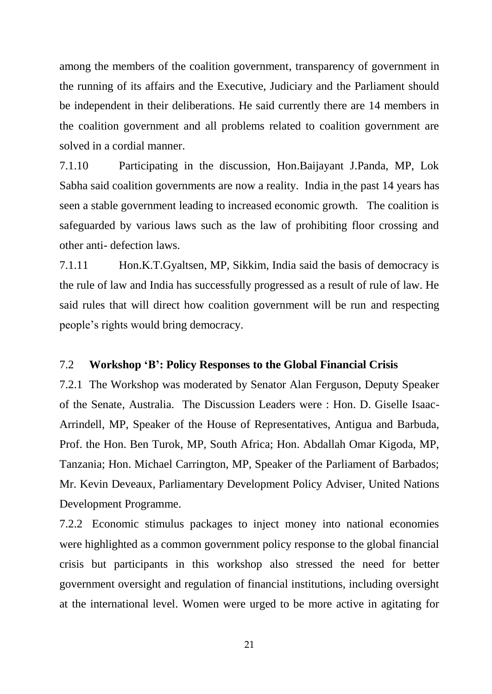among the members of the coalition government, transparency of government in the running of its affairs and the Executive, Judiciary and the Parliament should be independent in their deliberations. He said currently there are 14 members in the coalition government and all problems related to coalition government are solved in a cordial manner.

7.1.10 Participating in the discussion, Hon.Baijayant J.Panda, MP, Lok Sabha said coalition governments are now a reality. India in the past 14 years has seen a stable government leading to increased economic growth. The coalition is safeguarded by various laws such as the law of prohibiting floor crossing and other anti- defection laws.

7.1.11 Hon.K.T.Gyaltsen, MP, Sikkim, India said the basis of democracy is the rule of law and India has successfully progressed as a result of rule of law. He said rules that will direct how coalition government will be run and respecting people"s rights would bring democracy.

## 7.2 **Workshop 'B': Policy Responses to the Global Financial Crisis**

7.2.1 The Workshop was moderated by Senator Alan Ferguson, Deputy Speaker of the Senate, Australia. The Discussion Leaders were : Hon. D. Giselle Isaac-Arrindell, MP, Speaker of the House of Representatives, Antigua and Barbuda, Prof. the Hon. Ben Turok, MP, South Africa; Hon. Abdallah Omar Kigoda, MP, Tanzania; Hon. Michael Carrington, MP, Speaker of the Parliament of Barbados; Mr. Kevin Deveaux, Parliamentary Development Policy Adviser, United Nations Development Programme.

7.2.2 Economic stimulus packages to inject money into national economies were highlighted as a common government policy response to the global financial crisis but participants in this workshop also stressed the need for better government oversight and regulation of financial institutions, including oversight at the international level. Women were urged to be more active in agitating for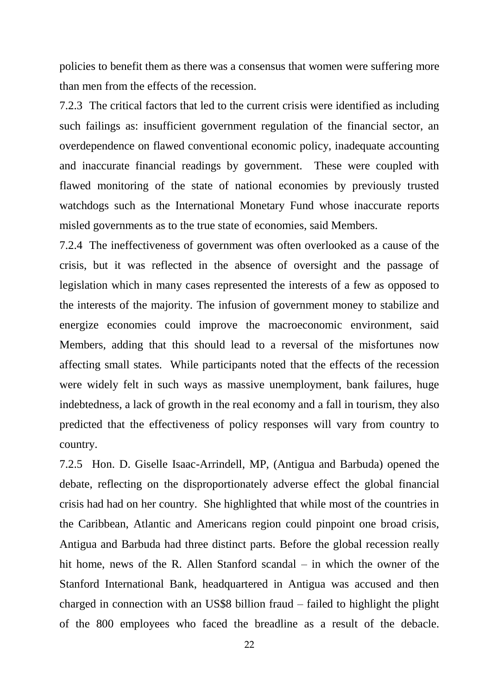policies to benefit them as there was a consensus that women were suffering more than men from the effects of the recession.

7.2.3 The critical factors that led to the current crisis were identified as including such failings as: insufficient government regulation of the financial sector, an overdependence on flawed conventional economic policy, inadequate accounting and inaccurate financial readings by government. These were coupled with flawed monitoring of the state of national economies by previously trusted watchdogs such as the International Monetary Fund whose inaccurate reports misled governments as to the true state of economies, said Members.

7.2.4 The ineffectiveness of government was often overlooked as a cause of the crisis, but it was reflected in the absence of oversight and the passage of legislation which in many cases represented the interests of a few as opposed to the interests of the majority. The infusion of government money to stabilize and energize economies could improve the macroeconomic environment, said Members, adding that this should lead to a reversal of the misfortunes now affecting small states. While participants noted that the effects of the recession were widely felt in such ways as massive unemployment, bank failures, huge indebtedness, a lack of growth in the real economy and a fall in tourism, they also predicted that the effectiveness of policy responses will vary from country to country.

7.2.5 Hon. D. Giselle Isaac-Arrindell, MP, (Antigua and Barbuda) opened the debate, reflecting on the disproportionately adverse effect the global financial crisis had had on her country. She highlighted that while most of the countries in the Caribbean, Atlantic and Americans region could pinpoint one broad crisis, Antigua and Barbuda had three distinct parts. Before the global recession really hit home, news of the R. Allen Stanford scandal – in which the owner of the Stanford International Bank, headquartered in Antigua was accused and then charged in connection with an US\$8 billion fraud – failed to highlight the plight of the 800 employees who faced the breadline as a result of the debacle.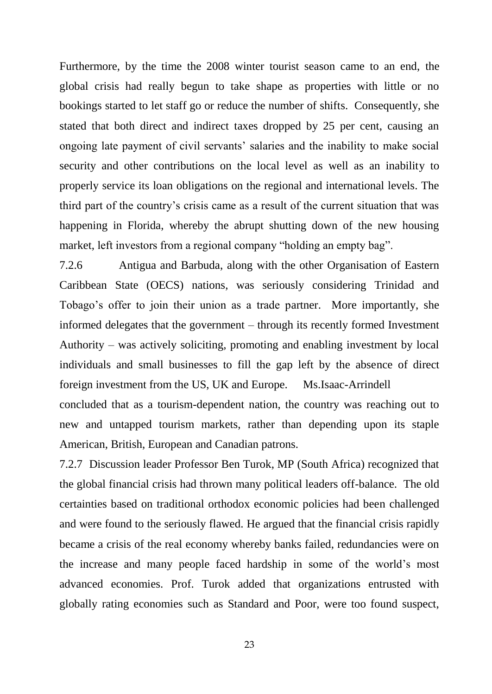Furthermore, by the time the 2008 winter tourist season came to an end, the global crisis had really begun to take shape as properties with little or no bookings started to let staff go or reduce the number of shifts. Consequently, she stated that both direct and indirect taxes dropped by 25 per cent, causing an ongoing late payment of civil servants" salaries and the inability to make social security and other contributions on the local level as well as an inability to properly service its loan obligations on the regional and international levels. The third part of the country"s crisis came as a result of the current situation that was happening in Florida, whereby the abrupt shutting down of the new housing market, left investors from a regional company "holding an empty bag".

7.2.6 Antigua and Barbuda, along with the other Organisation of Eastern Caribbean State (OECS) nations, was seriously considering Trinidad and Tobago"s offer to join their union as a trade partner. More importantly, she informed delegates that the government – through its recently formed Investment Authority – was actively soliciting, promoting and enabling investment by local individuals and small businesses to fill the gap left by the absence of direct foreign investment from the US, UK and Europe. Ms.Isaac-Arrindell concluded that as a tourism-dependent nation, the country was reaching out to new and untapped tourism markets, rather than depending upon its staple American, British, European and Canadian patrons.

7.2.7 Discussion leader Professor Ben Turok, MP (South Africa) recognized that the global financial crisis had thrown many political leaders off-balance. The old certainties based on traditional orthodox economic policies had been challenged and were found to the seriously flawed. He argued that the financial crisis rapidly became a crisis of the real economy whereby banks failed, redundancies were on the increase and many people faced hardship in some of the world"s most advanced economies. Prof. Turok added that organizations entrusted with globally rating economies such as Standard and Poor, were too found suspect,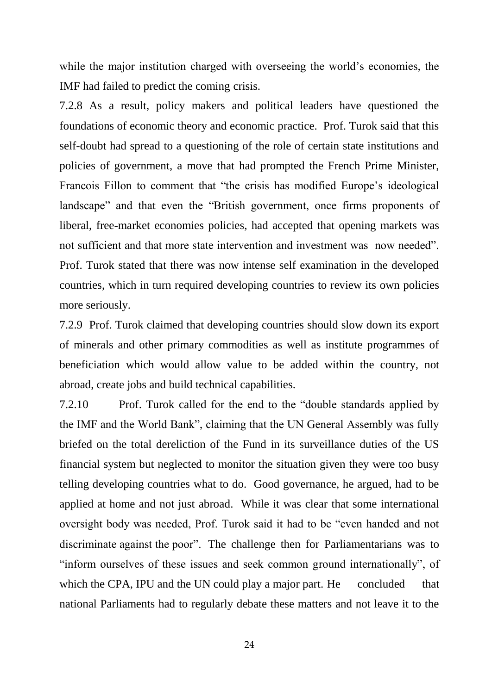while the major institution charged with overseeing the world's economies, the IMF had failed to predict the coming crisis.

7.2.8 As a result, policy makers and political leaders have questioned the foundations of economic theory and economic practice. Prof. Turok said that this self-doubt had spread to a questioning of the role of certain state institutions and policies of government, a move that had prompted the French Prime Minister, Francois Fillon to comment that "the crisis has modified Europe's ideological landscape" and that even the "British government, once firms proponents of liberal, free-market economies policies, had accepted that opening markets was not sufficient and that more state intervention and investment was now needed". Prof. Turok stated that there was now intense self examination in the developed countries, which in turn required developing countries to review its own policies more seriously.

7.2.9 Prof. Turok claimed that developing countries should slow down its export of minerals and other primary commodities as well as institute programmes of beneficiation which would allow value to be added within the country, not abroad, create jobs and build technical capabilities.

7.2.10 Prof. Turok called for the end to the "double standards applied by the IMF and the World Bank", claiming that the UN General Assembly was fully briefed on the total dereliction of the Fund in its surveillance duties of the US financial system but neglected to monitor the situation given they were too busy telling developing countries what to do. Good governance, he argued, had to be applied at home and not just abroad. While it was clear that some international oversight body was needed, Prof. Turok said it had to be "even handed and not discriminate against the poor". The challenge then for Parliamentarians was to "inform ourselves of these issues and seek common ground internationally", of which the CPA, IPU and the UN could play a major part. He concluded that national Parliaments had to regularly debate these matters and not leave it to the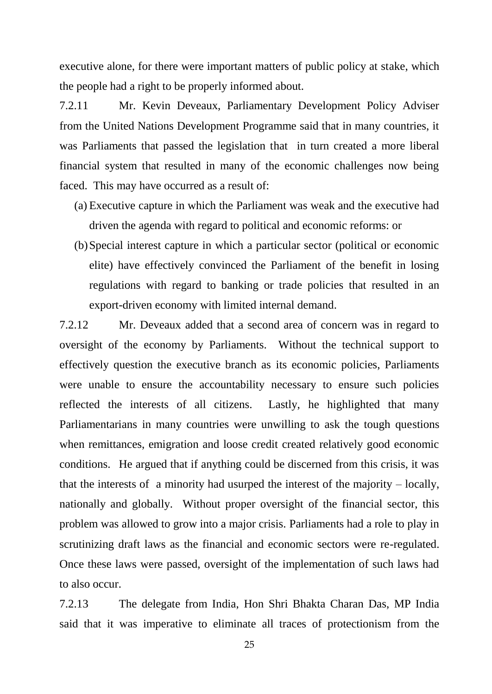executive alone, for there were important matters of public policy at stake, which the people had a right to be properly informed about.

7.2.11 Mr. Kevin Deveaux, Parliamentary Development Policy Adviser from the United Nations Development Programme said that in many countries, it was Parliaments that passed the legislation that in turn created a more liberal financial system that resulted in many of the economic challenges now being faced. This may have occurred as a result of:

- (a) Executive capture in which the Parliament was weak and the executive had driven the agenda with regard to political and economic reforms: or
- (b)Special interest capture in which a particular sector (political or economic elite) have effectively convinced the Parliament of the benefit in losing regulations with regard to banking or trade policies that resulted in an export-driven economy with limited internal demand.

7.2.12 Mr. Deveaux added that a second area of concern was in regard to oversight of the economy by Parliaments. Without the technical support to effectively question the executive branch as its economic policies, Parliaments were unable to ensure the accountability necessary to ensure such policies reflected the interests of all citizens. Lastly, he highlighted that many Parliamentarians in many countries were unwilling to ask the tough questions when remittances, emigration and loose credit created relatively good economic conditions. He argued that if anything could be discerned from this crisis, it was that the interests of a minority had usurped the interest of the majority – locally, nationally and globally. Without proper oversight of the financial sector, this problem was allowed to grow into a major crisis. Parliaments had a role to play in scrutinizing draft laws as the financial and economic sectors were re-regulated. Once these laws were passed, oversight of the implementation of such laws had to also occur.

7.2.13 The delegate from India, Hon Shri Bhakta Charan Das, MP India said that it was imperative to eliminate all traces of protectionism from the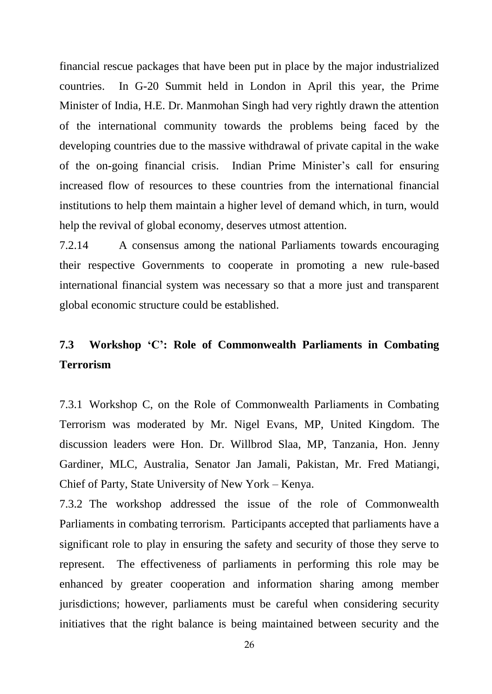financial rescue packages that have been put in place by the major industrialized countries. In G-20 Summit held in London in April this year, the Prime Minister of India, H.E. Dr. Manmohan Singh had very rightly drawn the attention of the international community towards the problems being faced by the developing countries due to the massive withdrawal of private capital in the wake of the on-going financial crisis. Indian Prime Minister"s call for ensuring increased flow of resources to these countries from the international financial institutions to help them maintain a higher level of demand which, in turn, would help the revival of global economy, deserves utmost attention.

7.2.14 A consensus among the national Parliaments towards encouraging their respective Governments to cooperate in promoting a new rule-based international financial system was necessary so that a more just and transparent global economic structure could be established.

# **7.3 Workshop 'C': Role of Commonwealth Parliaments in Combating Terrorism**

7.3.1 Workshop C, on the Role of Commonwealth Parliaments in Combating Terrorism was moderated by Mr. Nigel Evans, MP, United Kingdom. The discussion leaders were Hon. Dr. Willbrod Slaa, MP, Tanzania, Hon. Jenny Gardiner, MLC, Australia, Senator Jan Jamali, Pakistan, Mr. Fred Matiangi, Chief of Party, State University of New York – Kenya.

7.3.2 The workshop addressed the issue of the role of Commonwealth Parliaments in combating terrorism. Participants accepted that parliaments have a significant role to play in ensuring the safety and security of those they serve to represent. The effectiveness of parliaments in performing this role may be enhanced by greater cooperation and information sharing among member jurisdictions; however, parliaments must be careful when considering security initiatives that the right balance is being maintained between security and the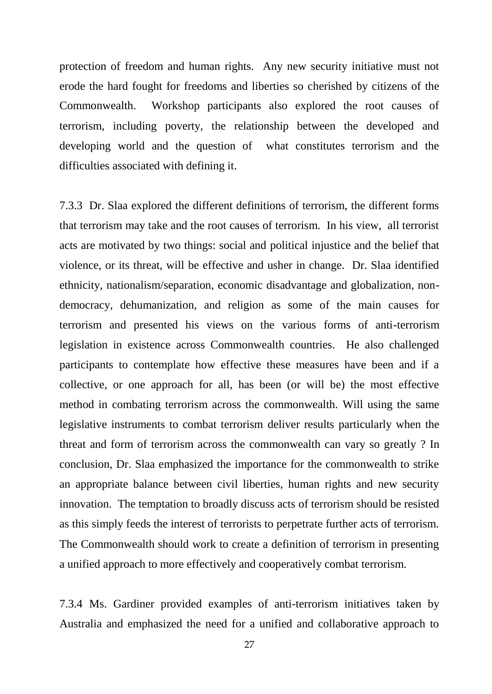protection of freedom and human rights. Any new security initiative must not erode the hard fought for freedoms and liberties so cherished by citizens of the Commonwealth. Workshop participants also explored the root causes of terrorism, including poverty, the relationship between the developed and developing world and the question of what constitutes terrorism and the difficulties associated with defining it.

7.3.3 Dr. Slaa explored the different definitions of terrorism, the different forms that terrorism may take and the root causes of terrorism. In his view, all terrorist acts are motivated by two things: social and political injustice and the belief that violence, or its threat, will be effective and usher in change. Dr. Slaa identified ethnicity, nationalism/separation, economic disadvantage and globalization, nondemocracy, dehumanization, and religion as some of the main causes for terrorism and presented his views on the various forms of anti-terrorism legislation in existence across Commonwealth countries. He also challenged participants to contemplate how effective these measures have been and if a collective, or one approach for all, has been (or will be) the most effective method in combating terrorism across the commonwealth. Will using the same legislative instruments to combat terrorism deliver results particularly when the threat and form of terrorism across the commonwealth can vary so greatly ? In conclusion, Dr. Slaa emphasized the importance for the commonwealth to strike an appropriate balance between civil liberties, human rights and new security innovation. The temptation to broadly discuss acts of terrorism should be resisted as this simply feeds the interest of terrorists to perpetrate further acts of terrorism. The Commonwealth should work to create a definition of terrorism in presenting a unified approach to more effectively and cooperatively combat terrorism.

7.3.4 Ms. Gardiner provided examples of anti-terrorism initiatives taken by Australia and emphasized the need for a unified and collaborative approach to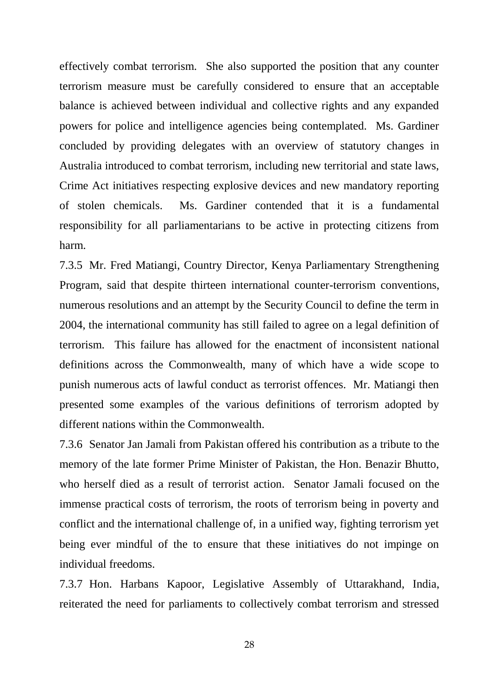effectively combat terrorism. She also supported the position that any counter terrorism measure must be carefully considered to ensure that an acceptable balance is achieved between individual and collective rights and any expanded powers for police and intelligence agencies being contemplated. Ms. Gardiner concluded by providing delegates with an overview of statutory changes in Australia introduced to combat terrorism, including new territorial and state laws, Crime Act initiatives respecting explosive devices and new mandatory reporting of stolen chemicals. Ms. Gardiner contended that it is a fundamental responsibility for all parliamentarians to be active in protecting citizens from harm.

7.3.5 Mr. Fred Matiangi, Country Director, Kenya Parliamentary Strengthening Program, said that despite thirteen international counter-terrorism conventions, numerous resolutions and an attempt by the Security Council to define the term in 2004, the international community has still failed to agree on a legal definition of terrorism. This failure has allowed for the enactment of inconsistent national definitions across the Commonwealth, many of which have a wide scope to punish numerous acts of lawful conduct as terrorist offences. Mr. Matiangi then presented some examples of the various definitions of terrorism adopted by different nations within the Commonwealth.

7.3.6 Senator Jan Jamali from Pakistan offered his contribution as a tribute to the memory of the late former Prime Minister of Pakistan, the Hon. Benazir Bhutto, who herself died as a result of terrorist action. Senator Jamali focused on the immense practical costs of terrorism, the roots of terrorism being in poverty and conflict and the international challenge of, in a unified way, fighting terrorism yet being ever mindful of the to ensure that these initiatives do not impinge on individual freedoms.

7.3.7 Hon. Harbans Kapoor, Legislative Assembly of Uttarakhand, India, reiterated the need for parliaments to collectively combat terrorism and stressed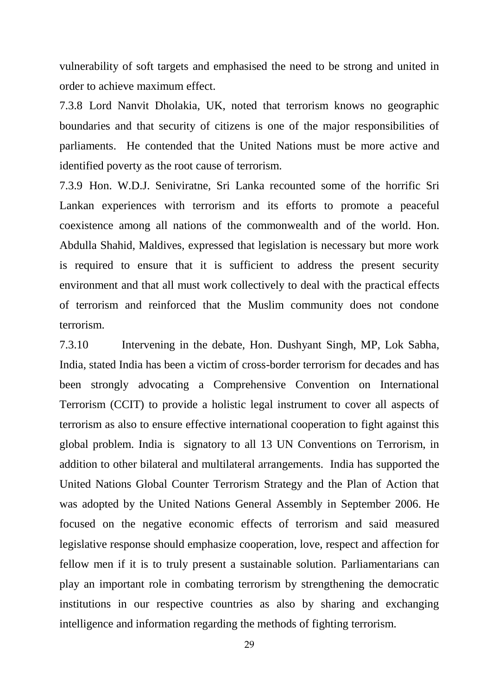vulnerability of soft targets and emphasised the need to be strong and united in order to achieve maximum effect.

7.3.8 Lord Nanvit Dholakia, UK, noted that terrorism knows no geographic boundaries and that security of citizens is one of the major responsibilities of parliaments. He contended that the United Nations must be more active and identified poverty as the root cause of terrorism.

7.3.9 Hon. W.D.J. Seniviratne, Sri Lanka recounted some of the horrific Sri Lankan experiences with terrorism and its efforts to promote a peaceful coexistence among all nations of the commonwealth and of the world. Hon. Abdulla Shahid, Maldives, expressed that legislation is necessary but more work is required to ensure that it is sufficient to address the present security environment and that all must work collectively to deal with the practical effects of terrorism and reinforced that the Muslim community does not condone terrorism.

7.3.10 Intervening in the debate, Hon. Dushyant Singh, MP, Lok Sabha, India, stated India has been a victim of cross-border terrorism for decades and has been strongly advocating a Comprehensive Convention on International Terrorism (CCIT) to provide a holistic legal instrument to cover all aspects of terrorism as also to ensure effective international cooperation to fight against this global problem. India is signatory to all 13 UN Conventions on Terrorism, in addition to other bilateral and multilateral arrangements. India has supported the United Nations Global Counter Terrorism Strategy and the Plan of Action that was adopted by the United Nations General Assembly in September 2006. He focused on the negative economic effects of terrorism and said measured legislative response should emphasize cooperation, love, respect and affection for fellow men if it is to truly present a sustainable solution. Parliamentarians can play an important role in combating terrorism by strengthening the democratic institutions in our respective countries as also by sharing and exchanging intelligence and information regarding the methods of fighting terrorism.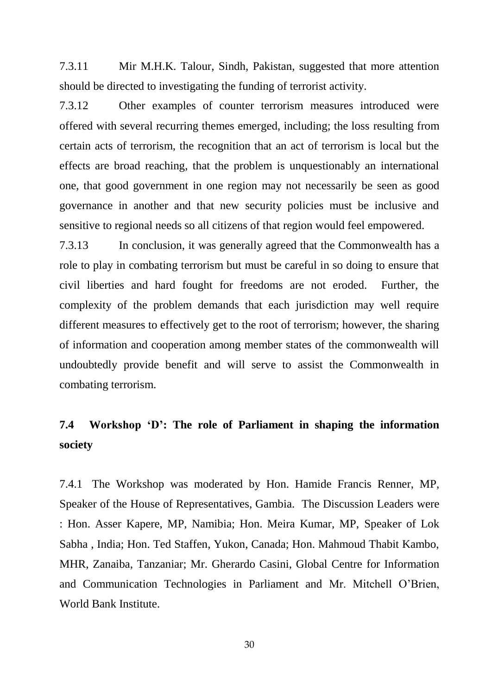7.3.11 Mir M.H.K. Talour, Sindh, Pakistan, suggested that more attention should be directed to investigating the funding of terrorist activity.

7.3.12 Other examples of counter terrorism measures introduced were offered with several recurring themes emerged, including; the loss resulting from certain acts of terrorism, the recognition that an act of terrorism is local but the effects are broad reaching, that the problem is unquestionably an international one, that good government in one region may not necessarily be seen as good governance in another and that new security policies must be inclusive and sensitive to regional needs so all citizens of that region would feel empowered.

7.3.13 In conclusion, it was generally agreed that the Commonwealth has a role to play in combating terrorism but must be careful in so doing to ensure that civil liberties and hard fought for freedoms are not eroded. Further, the complexity of the problem demands that each jurisdiction may well require different measures to effectively get to the root of terrorism; however, the sharing of information and cooperation among member states of the commonwealth will undoubtedly provide benefit and will serve to assist the Commonwealth in combating terrorism.

# **7.4 Workshop 'D': The role of Parliament in shaping the information society**

7.4.1 The Workshop was moderated by Hon. Hamide Francis Renner, MP, Speaker of the House of Representatives, Gambia. The Discussion Leaders were : Hon. Asser Kapere, MP, Namibia; Hon. Meira Kumar, MP, Speaker of Lok Sabha , India; Hon. Ted Staffen, Yukon, Canada; Hon. Mahmoud Thabit Kambo, MHR, Zanaiba, Tanzaniar; Mr. Gherardo Casini, Global Centre for Information and Communication Technologies in Parliament and Mr. Mitchell O"Brien, World Bank Institute.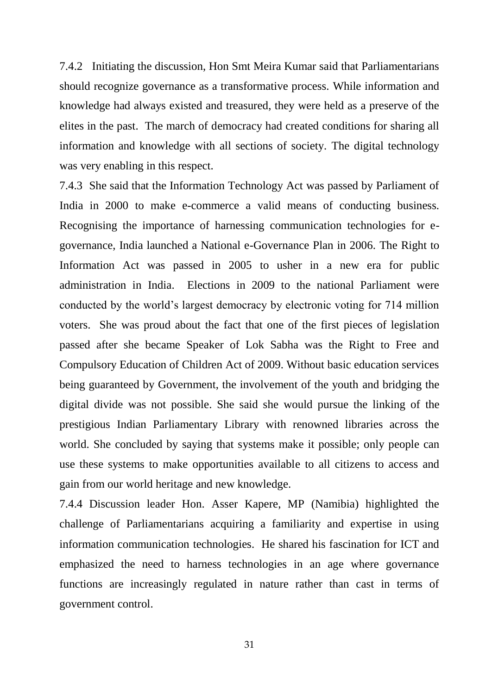7.4.2 Initiating the discussion, Hon Smt Meira Kumar said that Parliamentarians should recognize governance as a transformative process. While information and knowledge had always existed and treasured, they were held as a preserve of the elites in the past. The march of democracy had created conditions for sharing all information and knowledge with all sections of society. The digital technology was very enabling in this respect.

7.4.3 She said that the Information Technology Act was passed by Parliament of India in 2000 to make e-commerce a valid means of conducting business. Recognising the importance of harnessing communication technologies for egovernance, India launched a National e-Governance Plan in 2006. The Right to Information Act was passed in 2005 to usher in a new era for public administration in India. Elections in 2009 to the national Parliament were conducted by the world"s largest democracy by electronic voting for 714 million voters. She was proud about the fact that one of the first pieces of legislation passed after she became Speaker of Lok Sabha was the Right to Free and Compulsory Education of Children Act of 2009. Without basic education services being guaranteed by Government, the involvement of the youth and bridging the digital divide was not possible. She said she would pursue the linking of the prestigious Indian Parliamentary Library with renowned libraries across the world. She concluded by saying that systems make it possible; only people can use these systems to make opportunities available to all citizens to access and gain from our world heritage and new knowledge.

7.4.4 Discussion leader Hon. Asser Kapere, MP (Namibia) highlighted the challenge of Parliamentarians acquiring a familiarity and expertise in using information communication technologies. He shared his fascination for ICT and emphasized the need to harness technologies in an age where governance functions are increasingly regulated in nature rather than cast in terms of government control.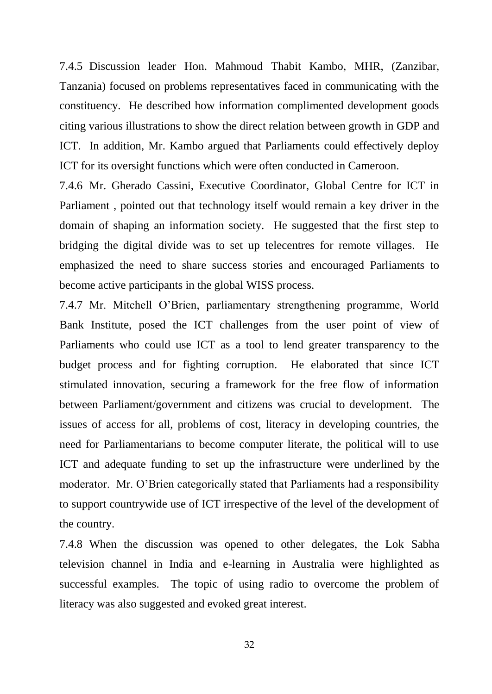7.4.5 Discussion leader Hon. Mahmoud Thabit Kambo, MHR, (Zanzibar, Tanzania) focused on problems representatives faced in communicating with the constituency. He described how information complimented development goods citing various illustrations to show the direct relation between growth in GDP and ICT. In addition, Mr. Kambo argued that Parliaments could effectively deploy ICT for its oversight functions which were often conducted in Cameroon.

7.4.6 Mr. Gherado Cassini, Executive Coordinator, Global Centre for ICT in Parliament , pointed out that technology itself would remain a key driver in the domain of shaping an information society. He suggested that the first step to bridging the digital divide was to set up telecentres for remote villages. He emphasized the need to share success stories and encouraged Parliaments to become active participants in the global WISS process.

7.4.7 Mr. Mitchell O"Brien, parliamentary strengthening programme, World Bank Institute, posed the ICT challenges from the user point of view of Parliaments who could use ICT as a tool to lend greater transparency to the budget process and for fighting corruption. He elaborated that since ICT stimulated innovation, securing a framework for the free flow of information between Parliament/government and citizens was crucial to development. The issues of access for all, problems of cost, literacy in developing countries, the need for Parliamentarians to become computer literate, the political will to use ICT and adequate funding to set up the infrastructure were underlined by the moderator. Mr. O"Brien categorically stated that Parliaments had a responsibility to support countrywide use of ICT irrespective of the level of the development of the country.

7.4.8 When the discussion was opened to other delegates, the Lok Sabha television channel in India and e-learning in Australia were highlighted as successful examples. The topic of using radio to overcome the problem of literacy was also suggested and evoked great interest.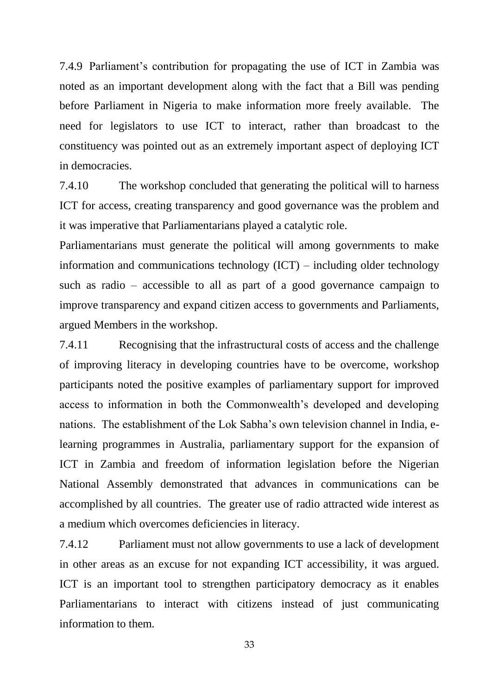7.4.9 Parliament"s contribution for propagating the use of ICT in Zambia was noted as an important development along with the fact that a Bill was pending before Parliament in Nigeria to make information more freely available. The need for legislators to use ICT to interact, rather than broadcast to the constituency was pointed out as an extremely important aspect of deploying ICT in democracies.

7.4.10 The workshop concluded that generating the political will to harness ICT for access, creating transparency and good governance was the problem and it was imperative that Parliamentarians played a catalytic role.

Parliamentarians must generate the political will among governments to make information and communications technology (ICT) – including older technology such as radio – accessible to all as part of a good governance campaign to improve transparency and expand citizen access to governments and Parliaments, argued Members in the workshop.

7.4.11 Recognising that the infrastructural costs of access and the challenge of improving literacy in developing countries have to be overcome, workshop participants noted the positive examples of parliamentary support for improved access to information in both the Commonwealth"s developed and developing nations. The establishment of the Lok Sabha"s own television channel in India, elearning programmes in Australia, parliamentary support for the expansion of ICT in Zambia and freedom of information legislation before the Nigerian National Assembly demonstrated that advances in communications can be accomplished by all countries. The greater use of radio attracted wide interest as a medium which overcomes deficiencies in literacy.

7.4.12 Parliament must not allow governments to use a lack of development in other areas as an excuse for not expanding ICT accessibility, it was argued. ICT is an important tool to strengthen participatory democracy as it enables Parliamentarians to interact with citizens instead of just communicating information to them.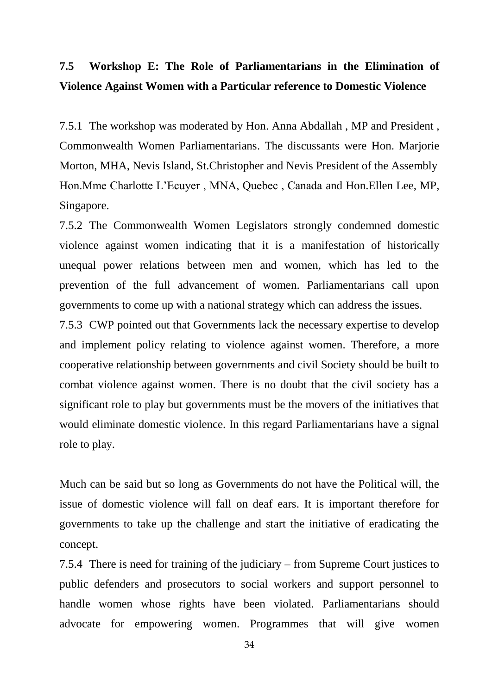# **7.5 Workshop E: The Role of Parliamentarians in the Elimination of Violence Against Women with a Particular reference to Domestic Violence**

7.5.1 The workshop was moderated by Hon. Anna Abdallah , MP and President , Commonwealth Women Parliamentarians. The discussants were Hon. Marjorie Morton, MHA, Nevis Island, St.Christopher and Nevis President of the Assembly Hon.Mme Charlotte L"Ecuyer , MNA, Quebec , Canada and Hon.Ellen Lee, MP, Singapore.

7.5.2 The Commonwealth Women Legislators strongly condemned domestic violence against women indicating that it is a manifestation of historically unequal power relations between men and women, which has led to the prevention of the full advancement of women. Parliamentarians call upon governments to come up with a national strategy which can address the issues.

7.5.3 CWP pointed out that Governments lack the necessary expertise to develop and implement policy relating to violence against women. Therefore, a more cooperative relationship between governments and civil Society should be built to combat violence against women. There is no doubt that the civil society has a significant role to play but governments must be the movers of the initiatives that would eliminate domestic violence. In this regard Parliamentarians have a signal role to play.

Much can be said but so long as Governments do not have the Political will, the issue of domestic violence will fall on deaf ears. It is important therefore for governments to take up the challenge and start the initiative of eradicating the concept.

7.5.4 There is need for training of the judiciary – from Supreme Court justices to public defenders and prosecutors to social workers and support personnel to handle women whose rights have been violated. Parliamentarians should advocate for empowering women. Programmes that will give women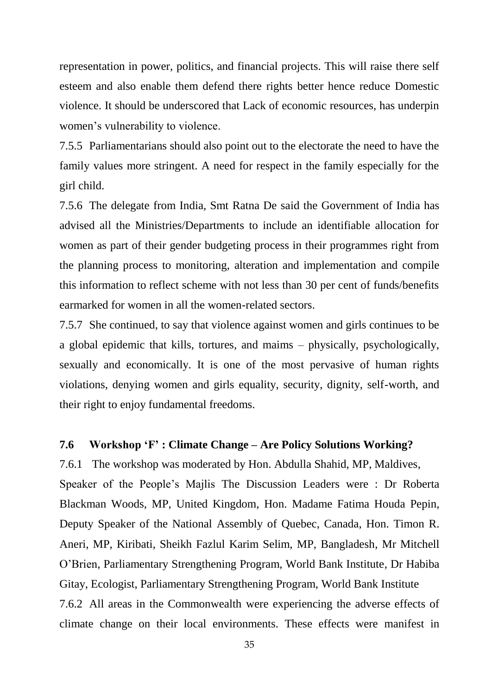representation in power, politics, and financial projects. This will raise there self esteem and also enable them defend there rights better hence reduce Domestic violence. It should be underscored that Lack of economic resources, has underpin women"s vulnerability to violence.

7.5.5 Parliamentarians should also point out to the electorate the need to have the family values more stringent. A need for respect in the family especially for the girl child.

7.5.6 The delegate from India, Smt Ratna De said the Government of India has advised all the Ministries/Departments to include an identifiable allocation for women as part of their gender budgeting process in their programmes right from the planning process to monitoring, alteration and implementation and compile this information to reflect scheme with not less than 30 per cent of funds/benefits earmarked for women in all the women-related sectors.

7.5.7 She continued, to say that violence against women and girls continues to be a global epidemic that kills, tortures, and maims – physically, psychologically, sexually and economically. It is one of the most pervasive of human rights violations, denying women and girls equality, security, dignity, self-worth, and their right to enjoy fundamental freedoms.

#### **7.6 Workshop 'F' : Climate Change – Are Policy Solutions Working?**

7.6.1 The workshop was moderated by Hon. Abdulla Shahid, MP, Maldives, Speaker of the People"s Majlis The Discussion Leaders were : Dr Roberta Blackman Woods, MP, United Kingdom, Hon. Madame Fatima Houda Pepin, Deputy Speaker of the National Assembly of Quebec, Canada, Hon. Timon R. Aneri, MP, Kiribati, Sheikh Fazlul Karim Selim, MP, Bangladesh, Mr Mitchell O"Brien, Parliamentary Strengthening Program, World Bank Institute, Dr Habiba Gitay, Ecologist, Parliamentary Strengthening Program, World Bank Institute 7.6.2 All areas in the Commonwealth were experiencing the adverse effects of climate change on their local environments. These effects were manifest in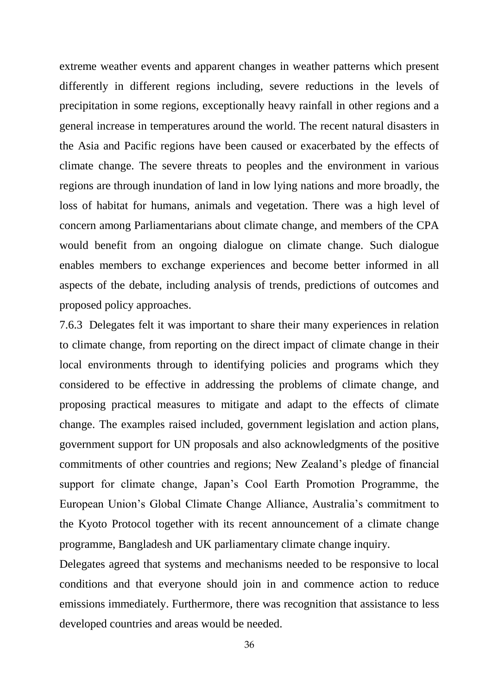extreme weather events and apparent changes in weather patterns which present differently in different regions including, severe reductions in the levels of precipitation in some regions, exceptionally heavy rainfall in other regions and a general increase in temperatures around the world. The recent natural disasters in the Asia and Pacific regions have been caused or exacerbated by the effects of climate change. The severe threats to peoples and the environment in various regions are through inundation of land in low lying nations and more broadly, the loss of habitat for humans, animals and vegetation. There was a high level of concern among Parliamentarians about climate change, and members of the CPA would benefit from an ongoing dialogue on climate change. Such dialogue enables members to exchange experiences and become better informed in all aspects of the debate, including analysis of trends, predictions of outcomes and proposed policy approaches.

7.6.3 Delegates felt it was important to share their many experiences in relation to climate change, from reporting on the direct impact of climate change in their local environments through to identifying policies and programs which they considered to be effective in addressing the problems of climate change, and proposing practical measures to mitigate and adapt to the effects of climate change. The examples raised included, government legislation and action plans, government support for UN proposals and also acknowledgments of the positive commitments of other countries and regions; New Zealand"s pledge of financial support for climate change, Japan"s Cool Earth Promotion Programme, the European Union"s Global Climate Change Alliance, Australia"s commitment to the Kyoto Protocol together with its recent announcement of a climate change programme, Bangladesh and UK parliamentary climate change inquiry.

Delegates agreed that systems and mechanisms needed to be responsive to local conditions and that everyone should join in and commence action to reduce emissions immediately. Furthermore, there was recognition that assistance to less developed countries and areas would be needed.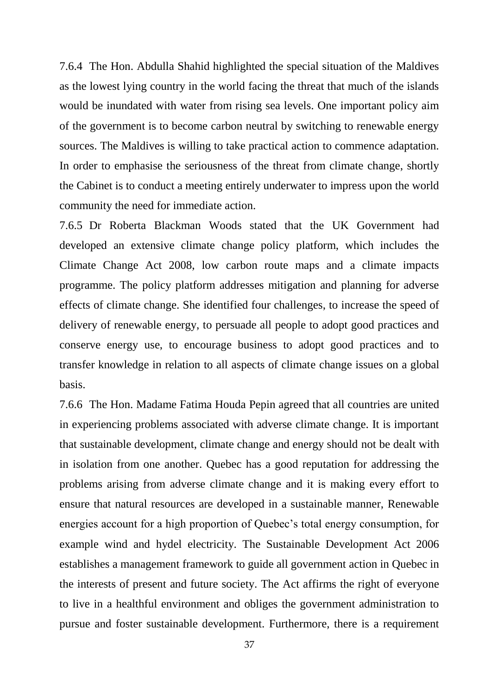7.6.4 The Hon. Abdulla Shahid highlighted the special situation of the Maldives as the lowest lying country in the world facing the threat that much of the islands would be inundated with water from rising sea levels. One important policy aim of the government is to become carbon neutral by switching to renewable energy sources. The Maldives is willing to take practical action to commence adaptation. In order to emphasise the seriousness of the threat from climate change, shortly the Cabinet is to conduct a meeting entirely underwater to impress upon the world community the need for immediate action.

7.6.5 Dr Roberta Blackman Woods stated that the UK Government had developed an extensive climate change policy platform, which includes the Climate Change Act 2008, low carbon route maps and a climate impacts programme. The policy platform addresses mitigation and planning for adverse effects of climate change. She identified four challenges, to increase the speed of delivery of renewable energy, to persuade all people to adopt good practices and conserve energy use, to encourage business to adopt good practices and to transfer knowledge in relation to all aspects of climate change issues on a global basis.

7.6.6 The Hon. Madame Fatima Houda Pepin agreed that all countries are united in experiencing problems associated with adverse climate change. It is important that sustainable development, climate change and energy should not be dealt with in isolation from one another. Quebec has a good reputation for addressing the problems arising from adverse climate change and it is making every effort to ensure that natural resources are developed in a sustainable manner, Renewable energies account for a high proportion of Quebec"s total energy consumption, for example wind and hydel electricity. The Sustainable Development Act 2006 establishes a management framework to guide all government action in Quebec in the interests of present and future society. The Act affirms the right of everyone to live in a healthful environment and obliges the government administration to pursue and foster sustainable development. Furthermore, there is a requirement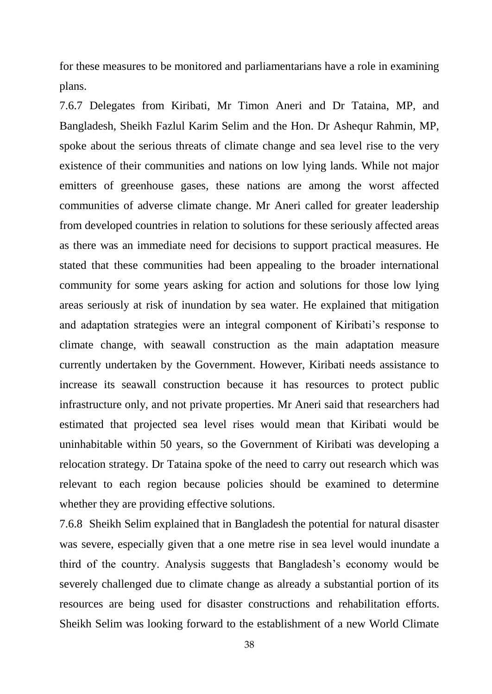for these measures to be monitored and parliamentarians have a role in examining plans.

7.6.7 Delegates from Kiribati, Mr Timon Aneri and Dr Tataina, MP, and Bangladesh, Sheikh Fazlul Karim Selim and the Hon. Dr Ashequr Rahmin, MP, spoke about the serious threats of climate change and sea level rise to the very existence of their communities and nations on low lying lands. While not major emitters of greenhouse gases, these nations are among the worst affected communities of adverse climate change. Mr Aneri called for greater leadership from developed countries in relation to solutions for these seriously affected areas as there was an immediate need for decisions to support practical measures. He stated that these communities had been appealing to the broader international community for some years asking for action and solutions for those low lying areas seriously at risk of inundation by sea water. He explained that mitigation and adaptation strategies were an integral component of Kiribati"s response to climate change, with seawall construction as the main adaptation measure currently undertaken by the Government. However, Kiribati needs assistance to increase its seawall construction because it has resources to protect public infrastructure only, and not private properties. Mr Aneri said that researchers had estimated that projected sea level rises would mean that Kiribati would be uninhabitable within 50 years, so the Government of Kiribati was developing a relocation strategy. Dr Tataina spoke of the need to carry out research which was relevant to each region because policies should be examined to determine whether they are providing effective solutions.

7.6.8 Sheikh Selim explained that in Bangladesh the potential for natural disaster was severe, especially given that a one metre rise in sea level would inundate a third of the country. Analysis suggests that Bangladesh"s economy would be severely challenged due to climate change as already a substantial portion of its resources are being used for disaster constructions and rehabilitation efforts. Sheikh Selim was looking forward to the establishment of a new World Climate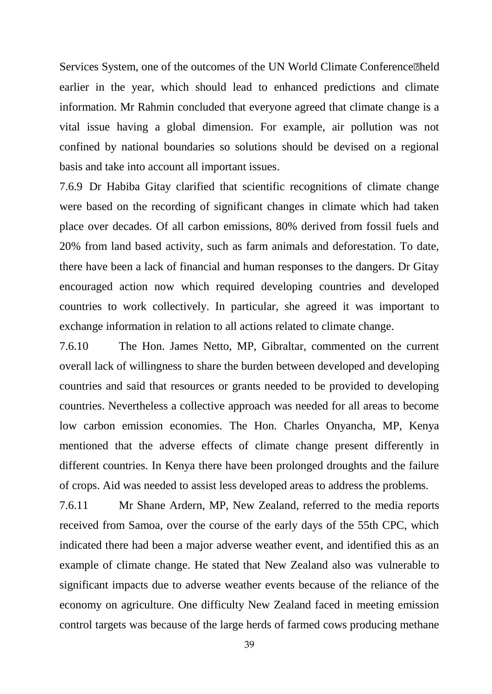Services System, one of the outcomes of the UN World Climate Conference•held earlier in the year, which should lead to enhanced predictions and climate information. Mr Rahmin concluded that everyone agreed that climate change is a vital issue having a global dimension. For example, air pollution was not confined by national boundaries so solutions should be devised on a regional basis and take into account all important issues.

7.6.9 Dr Habiba Gitay clarified that scientific recognitions of climate change were based on the recording of significant changes in climate which had taken place over decades. Of all carbon emissions, 80% derived from fossil fuels and 20% from land based activity, such as farm animals and deforestation. To date, there have been a lack of financial and human responses to the dangers. Dr Gitay encouraged action now which required developing countries and developed countries to work collectively. In particular, she agreed it was important to exchange information in relation to all actions related to climate change.

7.6.10 The Hon. James Netto, MP, Gibraltar, commented on the current overall lack of willingness to share the burden between developed and developing countries and said that resources or grants needed to be provided to developing countries. Nevertheless a collective approach was needed for all areas to become low carbon emission economies. The Hon. Charles Onyancha, MP, Kenya mentioned that the adverse effects of climate change present differently in different countries. In Kenya there have been prolonged droughts and the failure of crops. Aid was needed to assist less developed areas to address the problems.

7.6.11 Mr Shane Ardern, MP, New Zealand, referred to the media reports received from Samoa, over the course of the early days of the 55th CPC, which indicated there had been a major adverse weather event, and identified this as an example of climate change. He stated that New Zealand also was vulnerable to significant impacts due to adverse weather events because of the reliance of the economy on agriculture. One difficulty New Zealand faced in meeting emission control targets was because of the large herds of farmed cows producing methane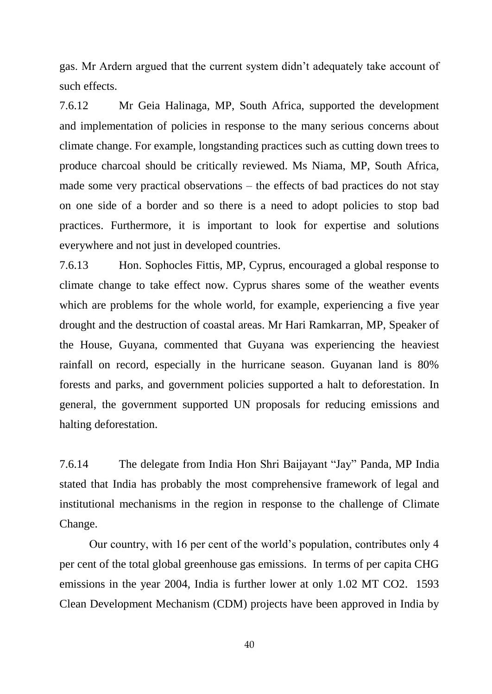gas. Mr Ardern argued that the current system didn"t adequately take account of such effects.

7.6.12 Mr Geia Halinaga, MP, South Africa, supported the development and implementation of policies in response to the many serious concerns about climate change. For example, longstanding practices such as cutting down trees to produce charcoal should be critically reviewed. Ms Niama, MP, South Africa, made some very practical observations – the effects of bad practices do not stay on one side of a border and so there is a need to adopt policies to stop bad practices. Furthermore, it is important to look for expertise and solutions everywhere and not just in developed countries.

7.6.13 Hon. Sophocles Fittis, MP, Cyprus, encouraged a global response to climate change to take effect now. Cyprus shares some of the weather events which are problems for the whole world, for example, experiencing a five year drought and the destruction of coastal areas. Mr Hari Ramkarran, MP, Speaker of the House, Guyana, commented that Guyana was experiencing the heaviest rainfall on record, especially in the hurricane season. Guyanan land is 80% forests and parks, and government policies supported a halt to deforestation. In general, the government supported UN proposals for reducing emissions and halting deforestation.

7.6.14 The delegate from India Hon Shri Baijayant "Jay" Panda, MP India stated that India has probably the most comprehensive framework of legal and institutional mechanisms in the region in response to the challenge of Climate Change.

Our country, with 16 per cent of the world"s population, contributes only 4 per cent of the total global greenhouse gas emissions. In terms of per capita CHG emissions in the year 2004, India is further lower at only 1.02 MT CO2. 1593 Clean Development Mechanism (CDM) projects have been approved in India by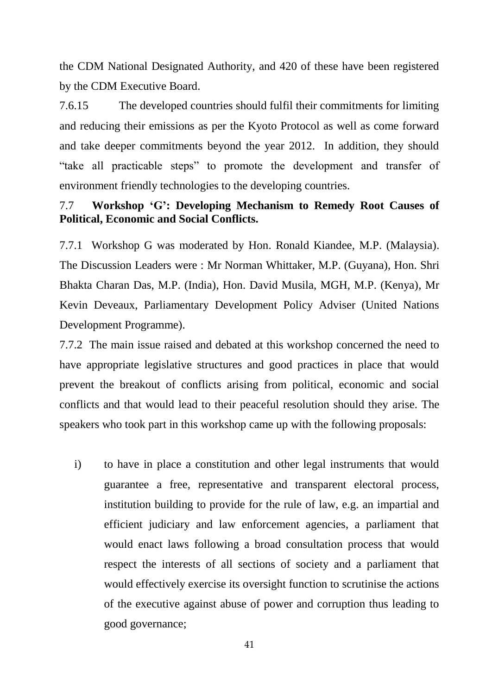the CDM National Designated Authority, and 420 of these have been registered by the CDM Executive Board.

7.6.15 The developed countries should fulfil their commitments for limiting and reducing their emissions as per the Kyoto Protocol as well as come forward and take deeper commitments beyond the year 2012. In addition, they should "take all practicable steps" to promote the development and transfer of environment friendly technologies to the developing countries.

# 7.7 **Workshop 'G': Developing Mechanism to Remedy Root Causes of Political, Economic and Social Conflicts.**

7.7.1 Workshop G was moderated by Hon. Ronald Kiandee, M.P. (Malaysia). The Discussion Leaders were : Mr Norman Whittaker, M.P. (Guyana), Hon. Shri Bhakta Charan Das, M.P. (India), Hon. David Musila, MGH, M.P. (Kenya), Mr Kevin Deveaux, Parliamentary Development Policy Adviser (United Nations Development Programme).

7.7.2 The main issue raised and debated at this workshop concerned the need to have appropriate legislative structures and good practices in place that would prevent the breakout of conflicts arising from political, economic and social conflicts and that would lead to their peaceful resolution should they arise. The speakers who took part in this workshop came up with the following proposals:

i) to have in place a constitution and other legal instruments that would guarantee a free, representative and transparent electoral process, institution building to provide for the rule of law, e.g. an impartial and efficient judiciary and law enforcement agencies, a parliament that would enact laws following a broad consultation process that would respect the interests of all sections of society and a parliament that would effectively exercise its oversight function to scrutinise the actions of the executive against abuse of power and corruption thus leading to good governance;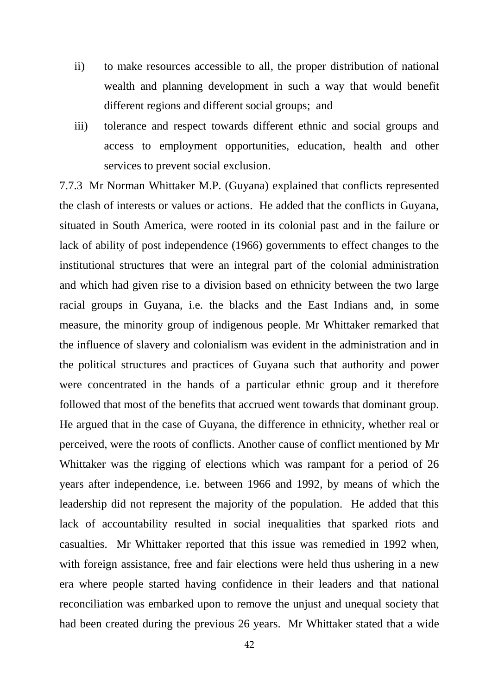- ii) to make resources accessible to all, the proper distribution of national wealth and planning development in such a way that would benefit different regions and different social groups; and
- iii) tolerance and respect towards different ethnic and social groups and access to employment opportunities, education, health and other services to prevent social exclusion.

7.7.3 Mr Norman Whittaker M.P. (Guyana) explained that conflicts represented the clash of interests or values or actions. He added that the conflicts in Guyana, situated in South America, were rooted in its colonial past and in the failure or lack of ability of post independence (1966) governments to effect changes to the institutional structures that were an integral part of the colonial administration and which had given rise to a division based on ethnicity between the two large racial groups in Guyana, i.e. the blacks and the East Indians and, in some measure, the minority group of indigenous people. Mr Whittaker remarked that the influence of slavery and colonialism was evident in the administration and in the political structures and practices of Guyana such that authority and power were concentrated in the hands of a particular ethnic group and it therefore followed that most of the benefits that accrued went towards that dominant group. He argued that in the case of Guyana, the difference in ethnicity, whether real or perceived, were the roots of conflicts. Another cause of conflict mentioned by Mr Whittaker was the rigging of elections which was rampant for a period of 26 years after independence, i.e. between 1966 and 1992, by means of which the leadership did not represent the majority of the population. He added that this lack of accountability resulted in social inequalities that sparked riots and casualties. Mr Whittaker reported that this issue was remedied in 1992 when, with foreign assistance, free and fair elections were held thus ushering in a new era where people started having confidence in their leaders and that national reconciliation was embarked upon to remove the unjust and unequal society that had been created during the previous 26 years. Mr Whittaker stated that a wide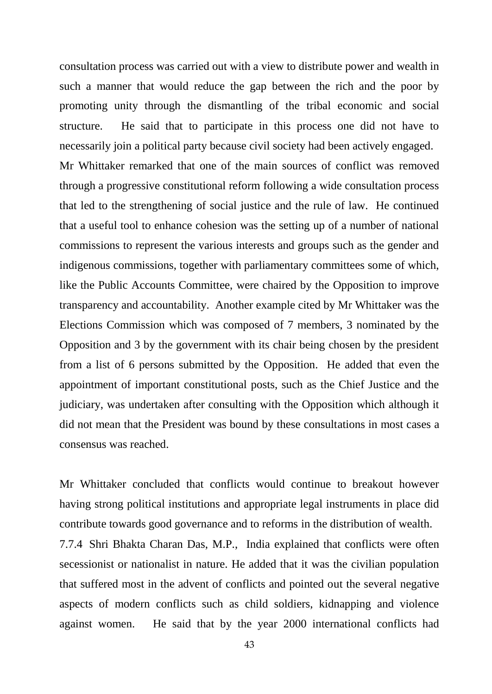consultation process was carried out with a view to distribute power and wealth in such a manner that would reduce the gap between the rich and the poor by promoting unity through the dismantling of the tribal economic and social structure. He said that to participate in this process one did not have to necessarily join a political party because civil society had been actively engaged.

Mr Whittaker remarked that one of the main sources of conflict was removed through a progressive constitutional reform following a wide consultation process that led to the strengthening of social justice and the rule of law. He continued that a useful tool to enhance cohesion was the setting up of a number of national commissions to represent the various interests and groups such as the gender and indigenous commissions, together with parliamentary committees some of which, like the Public Accounts Committee, were chaired by the Opposition to improve transparency and accountability. Another example cited by Mr Whittaker was the Elections Commission which was composed of 7 members, 3 nominated by the Opposition and 3 by the government with its chair being chosen by the president from a list of 6 persons submitted by the Opposition. He added that even the appointment of important constitutional posts, such as the Chief Justice and the judiciary, was undertaken after consulting with the Opposition which although it did not mean that the President was bound by these consultations in most cases a consensus was reached.

Mr Whittaker concluded that conflicts would continue to breakout however having strong political institutions and appropriate legal instruments in place did contribute towards good governance and to reforms in the distribution of wealth. 7.7.4 Shri Bhakta Charan Das, M.P., India explained that conflicts were often secessionist or nationalist in nature. He added that it was the civilian population that suffered most in the advent of conflicts and pointed out the several negative aspects of modern conflicts such as child soldiers, kidnapping and violence against women. He said that by the year 2000 international conflicts had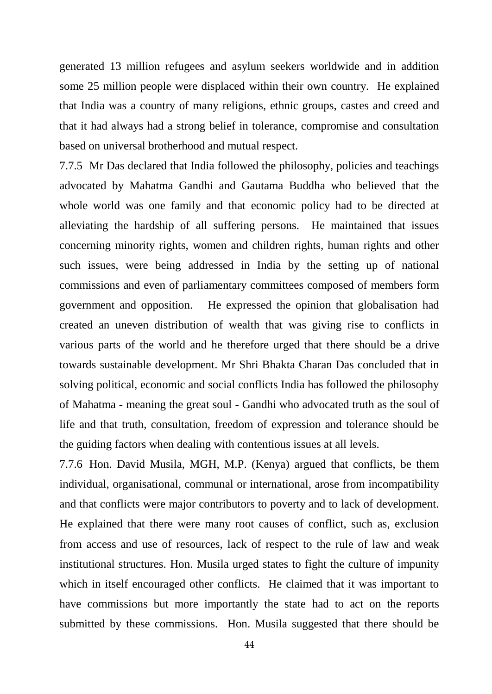generated 13 million refugees and asylum seekers worldwide and in addition some 25 million people were displaced within their own country. He explained that India was a country of many religions, ethnic groups, castes and creed and that it had always had a strong belief in tolerance, compromise and consultation based on universal brotherhood and mutual respect.

7.7.5 Mr Das declared that India followed the philosophy, policies and teachings advocated by Mahatma Gandhi and Gautama Buddha who believed that the whole world was one family and that economic policy had to be directed at alleviating the hardship of all suffering persons. He maintained that issues concerning minority rights, women and children rights, human rights and other such issues, were being addressed in India by the setting up of national commissions and even of parliamentary committees composed of members form government and opposition. He expressed the opinion that globalisation had created an uneven distribution of wealth that was giving rise to conflicts in various parts of the world and he therefore urged that there should be a drive towards sustainable development. Mr Shri Bhakta Charan Das concluded that in solving political, economic and social conflicts India has followed the philosophy of Mahatma - meaning the great soul - Gandhi who advocated truth as the soul of life and that truth, consultation, freedom of expression and tolerance should be the guiding factors when dealing with contentious issues at all levels.

7.7.6 Hon. David Musila, MGH, M.P. (Kenya) argued that conflicts, be them individual, organisational, communal or international, arose from incompatibility and that conflicts were major contributors to poverty and to lack of development. He explained that there were many root causes of conflict, such as, exclusion from access and use of resources, lack of respect to the rule of law and weak institutional structures. Hon. Musila urged states to fight the culture of impunity which in itself encouraged other conflicts. He claimed that it was important to have commissions but more importantly the state had to act on the reports submitted by these commissions. Hon. Musila suggested that there should be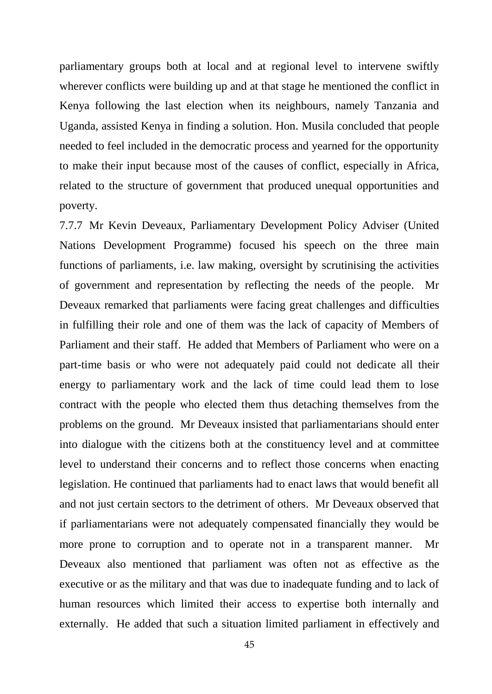parliamentary groups both at local and at regional level to intervene swiftly wherever conflicts were building up and at that stage he mentioned the conflict in Kenya following the last election when its neighbours, namely Tanzania and Uganda, assisted Kenya in finding a solution. Hon. Musila concluded that people needed to feel included in the democratic process and yearned for the opportunity to make their input because most of the causes of conflict, especially in Africa, related to the structure of government that produced unequal opportunities and poverty.

7.7.7 Mr Kevin Deveaux, Parliamentary Development Policy Adviser (United Nations Development Programme) focused his speech on the three main functions of parliaments, i.e. law making, oversight by scrutinising the activities of government and representation by reflecting the needs of the people. Mr Deveaux remarked that parliaments were facing great challenges and difficulties in fulfilling their role and one of them was the lack of capacity of Members of Parliament and their staff. He added that Members of Parliament who were on a part-time basis or who were not adequately paid could not dedicate all their energy to parliamentary work and the lack of time could lead them to lose contract with the people who elected them thus detaching themselves from the problems on the ground. Mr Deveaux insisted that parliamentarians should enter into dialogue with the citizens both at the constituency level and at committee level to understand their concerns and to reflect those concerns when enacting legislation. He continued that parliaments had to enact laws that would benefit all and not just certain sectors to the detriment of others. Mr Deveaux observed that if parliamentarians were not adequately compensated financially they would be more prone to corruption and to operate not in a transparent manner. Mr Deveaux also mentioned that parliament was often not as effective as the executive or as the military and that was due to inadequate funding and to lack of human resources which limited their access to expertise both internally and externally. He added that such a situation limited parliament in effectively and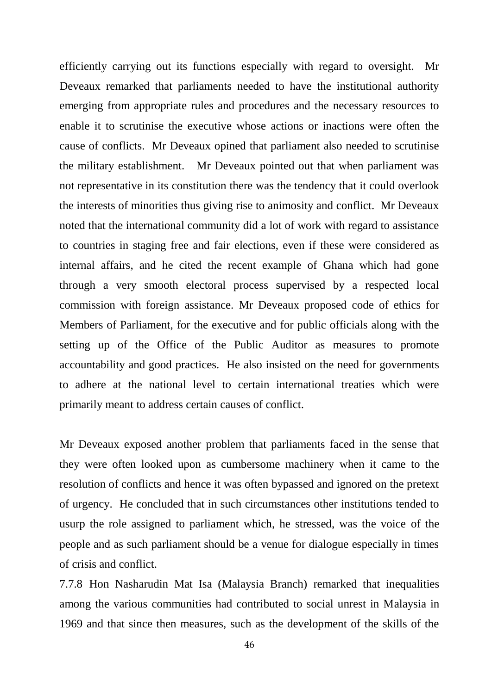efficiently carrying out its functions especially with regard to oversight. Mr Deveaux remarked that parliaments needed to have the institutional authority emerging from appropriate rules and procedures and the necessary resources to enable it to scrutinise the executive whose actions or inactions were often the cause of conflicts. Mr Deveaux opined that parliament also needed to scrutinise the military establishment. Mr Deveaux pointed out that when parliament was not representative in its constitution there was the tendency that it could overlook the interests of minorities thus giving rise to animosity and conflict. Mr Deveaux noted that the international community did a lot of work with regard to assistance to countries in staging free and fair elections, even if these were considered as internal affairs, and he cited the recent example of Ghana which had gone through a very smooth electoral process supervised by a respected local commission with foreign assistance. Mr Deveaux proposed code of ethics for Members of Parliament, for the executive and for public officials along with the setting up of the Office of the Public Auditor as measures to promote accountability and good practices. He also insisted on the need for governments to adhere at the national level to certain international treaties which were primarily meant to address certain causes of conflict.

Mr Deveaux exposed another problem that parliaments faced in the sense that they were often looked upon as cumbersome machinery when it came to the resolution of conflicts and hence it was often bypassed and ignored on the pretext of urgency. He concluded that in such circumstances other institutions tended to usurp the role assigned to parliament which, he stressed, was the voice of the people and as such parliament should be a venue for dialogue especially in times of crisis and conflict.

7.7.8 Hon Nasharudin Mat Isa (Malaysia Branch) remarked that inequalities among the various communities had contributed to social unrest in Malaysia in 1969 and that since then measures, such as the development of the skills of the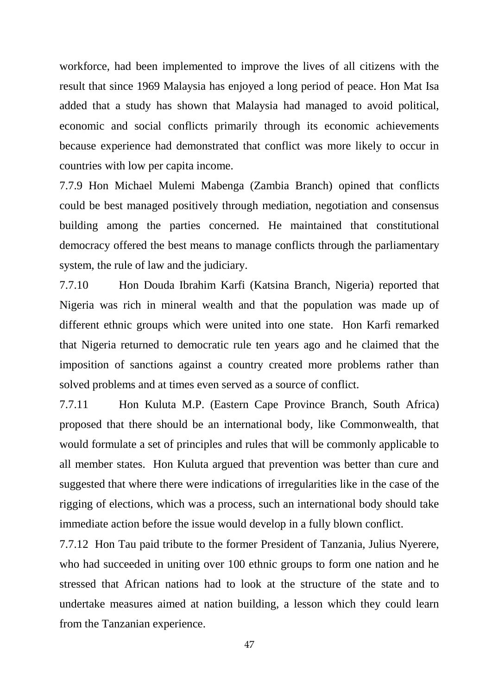workforce, had been implemented to improve the lives of all citizens with the result that since 1969 Malaysia has enjoyed a long period of peace. Hon Mat Isa added that a study has shown that Malaysia had managed to avoid political, economic and social conflicts primarily through its economic achievements because experience had demonstrated that conflict was more likely to occur in countries with low per capita income.

7.7.9 Hon Michael Mulemi Mabenga (Zambia Branch) opined that conflicts could be best managed positively through mediation, negotiation and consensus building among the parties concerned. He maintained that constitutional democracy offered the best means to manage conflicts through the parliamentary system, the rule of law and the judiciary.

7.7.10 Hon Douda Ibrahim Karfi (Katsina Branch, Nigeria) reported that Nigeria was rich in mineral wealth and that the population was made up of different ethnic groups which were united into one state. Hon Karfi remarked that Nigeria returned to democratic rule ten years ago and he claimed that the imposition of sanctions against a country created more problems rather than solved problems and at times even served as a source of conflict.

7.7.11 Hon Kuluta M.P. (Eastern Cape Province Branch, South Africa) proposed that there should be an international body, like Commonwealth, that would formulate a set of principles and rules that will be commonly applicable to all member states. Hon Kuluta argued that prevention was better than cure and suggested that where there were indications of irregularities like in the case of the rigging of elections, which was a process, such an international body should take immediate action before the issue would develop in a fully blown conflict.

7.7.12 Hon Tau paid tribute to the former President of Tanzania, Julius Nyerere, who had succeeded in uniting over 100 ethnic groups to form one nation and he stressed that African nations had to look at the structure of the state and to undertake measures aimed at nation building, a lesson which they could learn from the Tanzanian experience.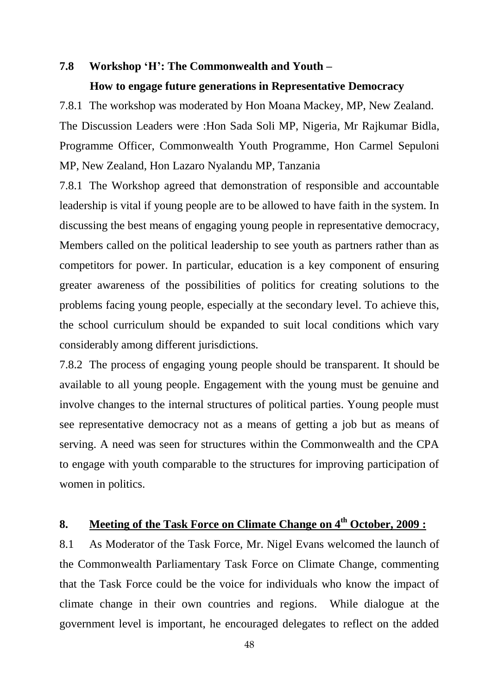#### **7.8 Workshop 'H': The Commonwealth and Youth –**

### **How to engage future generations in Representative Democracy**

7.8.1 The workshop was moderated by Hon Moana Mackey, MP, New Zealand. The Discussion Leaders were :Hon Sada Soli MP, Nigeria, Mr Rajkumar Bidla, Programme Officer, Commonwealth Youth Programme, Hon Carmel Sepuloni MP, New Zealand, Hon Lazaro Nyalandu MP, Tanzania

7.8.1 The Workshop agreed that demonstration of responsible and accountable leadership is vital if young people are to be allowed to have faith in the system. In discussing the best means of engaging young people in representative democracy, Members called on the political leadership to see youth as partners rather than as competitors for power. In particular, education is a key component of ensuring greater awareness of the possibilities of politics for creating solutions to the problems facing young people, especially at the secondary level. To achieve this, the school curriculum should be expanded to suit local conditions which vary considerably among different jurisdictions.

7.8.2 The process of engaging young people should be transparent. It should be available to all young people. Engagement with the young must be genuine and involve changes to the internal structures of political parties. Young people must see representative democracy not as a means of getting a job but as means of serving. A need was seen for structures within the Commonwealth and the CPA to engage with youth comparable to the structures for improving participation of women in politics.

# **8. Meeting of the Task Force on Climate Change on 4th October, 2009 :**

8.1 As Moderator of the Task Force, Mr. Nigel Evans welcomed the launch of the Commonwealth Parliamentary Task Force on Climate Change, commenting that the Task Force could be the voice for individuals who know the impact of climate change in their own countries and regions. While dialogue at the government level is important, he encouraged delegates to reflect on the added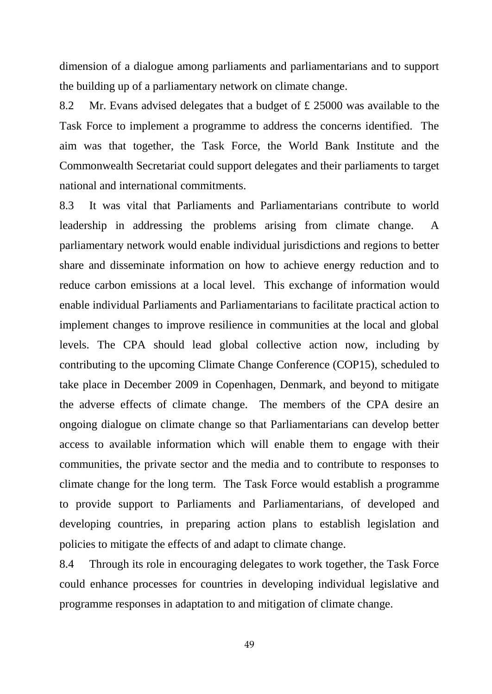dimension of a dialogue among parliaments and parliamentarians and to support the building up of a parliamentary network on climate change.

8.2 Mr. Evans advised delegates that a budget of £ 25000 was available to the Task Force to implement a programme to address the concerns identified. The aim was that together, the Task Force, the World Bank Institute and the Commonwealth Secretariat could support delegates and their parliaments to target national and international commitments.

8.3 It was vital that Parliaments and Parliamentarians contribute to world leadership in addressing the problems arising from climate change. A parliamentary network would enable individual jurisdictions and regions to better share and disseminate information on how to achieve energy reduction and to reduce carbon emissions at a local level. This exchange of information would enable individual Parliaments and Parliamentarians to facilitate practical action to implement changes to improve resilience in communities at the local and global levels. The CPA should lead global collective action now, including by contributing to the upcoming Climate Change Conference (COP15), scheduled to take place in December 2009 in Copenhagen, Denmark, and beyond to mitigate the adverse effects of climate change. The members of the CPA desire an ongoing dialogue on climate change so that Parliamentarians can develop better access to available information which will enable them to engage with their communities, the private sector and the media and to contribute to responses to climate change for the long term. The Task Force would establish a programme to provide support to Parliaments and Parliamentarians, of developed and developing countries, in preparing action plans to establish legislation and policies to mitigate the effects of and adapt to climate change.

8.4 Through its role in encouraging delegates to work together, the Task Force could enhance processes for countries in developing individual legislative and programme responses in adaptation to and mitigation of climate change.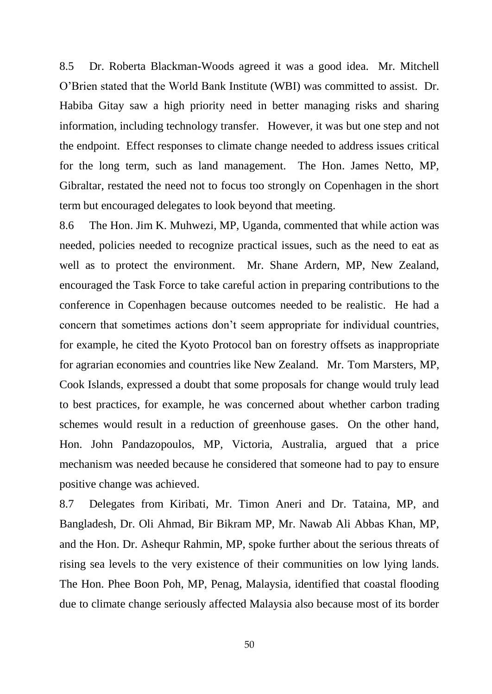8.5 Dr. Roberta Blackman-Woods agreed it was a good idea. Mr. Mitchell O"Brien stated that the World Bank Institute (WBI) was committed to assist. Dr. Habiba Gitay saw a high priority need in better managing risks and sharing information, including technology transfer. However, it was but one step and not the endpoint. Effect responses to climate change needed to address issues critical for the long term, such as land management. The Hon. James Netto, MP, Gibraltar, restated the need not to focus too strongly on Copenhagen in the short term but encouraged delegates to look beyond that meeting.

8.6 The Hon. Jim K. Muhwezi, MP, Uganda, commented that while action was needed, policies needed to recognize practical issues, such as the need to eat as well as to protect the environment. Mr. Shane Ardern, MP, New Zealand, encouraged the Task Force to take careful action in preparing contributions to the conference in Copenhagen because outcomes needed to be realistic. He had a concern that sometimes actions don"t seem appropriate for individual countries, for example, he cited the Kyoto Protocol ban on forestry offsets as inappropriate for agrarian economies and countries like New Zealand. Mr. Tom Marsters, MP, Cook Islands, expressed a doubt that some proposals for change would truly lead to best practices, for example, he was concerned about whether carbon trading schemes would result in a reduction of greenhouse gases. On the other hand, Hon. John Pandazopoulos, MP, Victoria, Australia, argued that a price mechanism was needed because he considered that someone had to pay to ensure positive change was achieved.

8.7 Delegates from Kiribati, Mr. Timon Aneri and Dr. Tataina, MP, and Bangladesh, Dr. Oli Ahmad, Bir Bikram MP, Mr. Nawab Ali Abbas Khan, MP, and the Hon. Dr. Ashequr Rahmin, MP, spoke further about the serious threats of rising sea levels to the very existence of their communities on low lying lands. The Hon. Phee Boon Poh, MP, Penag, Malaysia, identified that coastal flooding due to climate change seriously affected Malaysia also because most of its border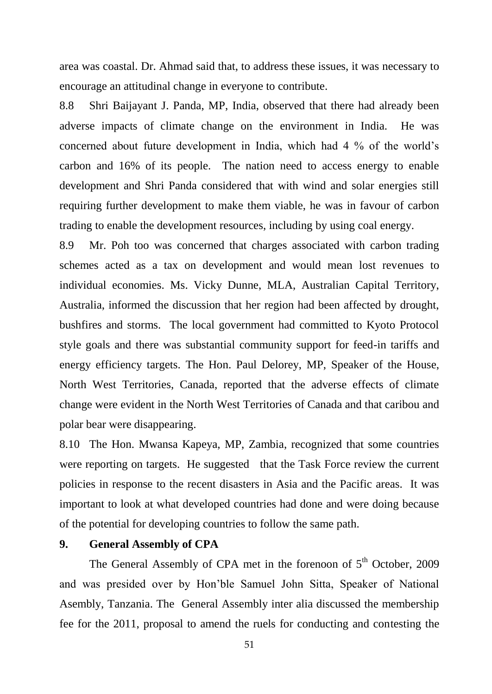area was coastal. Dr. Ahmad said that, to address these issues, it was necessary to encourage an attitudinal change in everyone to contribute.

8.8 Shri Baijayant J. Panda, MP, India, observed that there had already been adverse impacts of climate change on the environment in India. He was concerned about future development in India, which had 4 % of the world"s carbon and 16% of its people. The nation need to access energy to enable development and Shri Panda considered that with wind and solar energies still requiring further development to make them viable, he was in favour of carbon trading to enable the development resources, including by using coal energy.

8.9 Mr. Poh too was concerned that charges associated with carbon trading schemes acted as a tax on development and would mean lost revenues to individual economies. Ms. Vicky Dunne, MLA, Australian Capital Territory, Australia, informed the discussion that her region had been affected by drought, bushfires and storms. The local government had committed to Kyoto Protocol style goals and there was substantial community support for feed-in tariffs and energy efficiency targets. The Hon. Paul Delorey, MP, Speaker of the House, North West Territories, Canada, reported that the adverse effects of climate change were evident in the North West Territories of Canada and that caribou and polar bear were disappearing.

8.10 The Hon. Mwansa Kapeya, MP, Zambia, recognized that some countries were reporting on targets. He suggested that the Task Force review the current policies in response to the recent disasters in Asia and the Pacific areas. It was important to look at what developed countries had done and were doing because of the potential for developing countries to follow the same path.

#### **9. General Assembly of CPA**

The General Assembly of CPA met in the forenoon of  $5<sup>th</sup>$  October, 2009 and was presided over by Hon"ble Samuel John Sitta, Speaker of National Asembly, Tanzania. The General Assembly inter alia discussed the membership fee for the 2011, proposal to amend the ruels for conducting and contesting the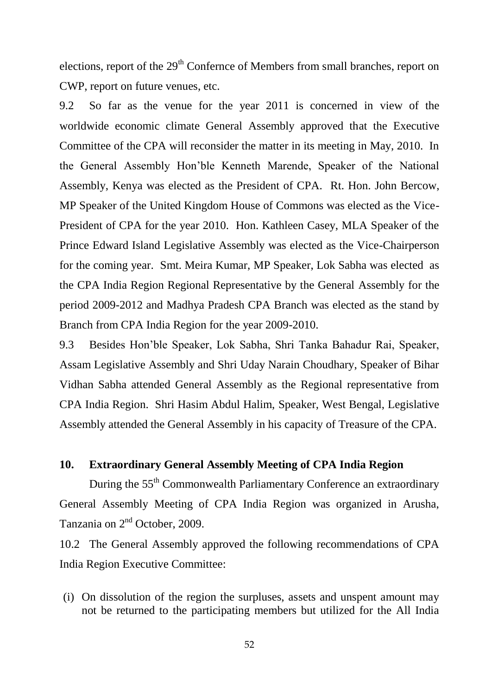elections, report of the 29<sup>th</sup> Confernce of Members from small branches, report on CWP, report on future venues, etc.

9.2 So far as the venue for the year 2011 is concerned in view of the worldwide economic climate General Assembly approved that the Executive Committee of the CPA will reconsider the matter in its meeting in May, 2010. In the General Assembly Hon"ble Kenneth Marende, Speaker of the National Assembly, Kenya was elected as the President of CPA. Rt. Hon. John Bercow, MP Speaker of the United Kingdom House of Commons was elected as the Vice-President of CPA for the year 2010. Hon. Kathleen Casey, MLA Speaker of the Prince Edward Island Legislative Assembly was elected as the Vice-Chairperson for the coming year. Smt. Meira Kumar, MP Speaker, Lok Sabha was elected as the CPA India Region Regional Representative by the General Assembly for the period 2009-2012 and Madhya Pradesh CPA Branch was elected as the stand by Branch from CPA India Region for the year 2009-2010.

9.3 Besides Hon"ble Speaker, Lok Sabha, Shri Tanka Bahadur Rai, Speaker, Assam Legislative Assembly and Shri Uday Narain Choudhary, Speaker of Bihar Vidhan Sabha attended General Assembly as the Regional representative from CPA India Region. Shri Hasim Abdul Halim, Speaker, West Bengal, Legislative Assembly attended the General Assembly in his capacity of Treasure of the CPA.

## **10. Extraordinary General Assembly Meeting of CPA India Region**

During the 55<sup>th</sup> Commonwealth Parliamentary Conference an extraordinary General Assembly Meeting of CPA India Region was organized in Arusha, Tanzania on 2<sup>nd</sup> October, 2009.

10.2 The General Assembly approved the following recommendations of CPA India Region Executive Committee:

(i) On dissolution of the region the surpluses, assets and unspent amount may not be returned to the participating members but utilized for the All India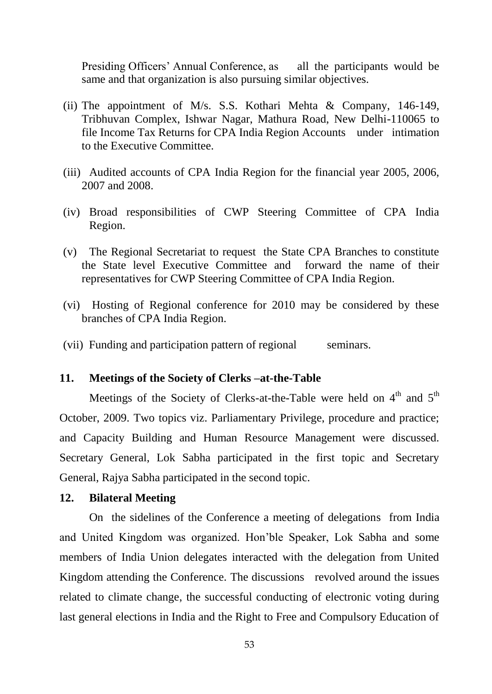Presiding Officers' Annual Conference, as all the participants would be same and that organization is also pursuing similar objectives.

- (ii) The appointment of M/s. S.S. Kothari Mehta & Company, 146-149, Tribhuvan Complex, Ishwar Nagar, Mathura Road, New Delhi-110065 to file Income Tax Returns for CPA India Region Accounts under intimation to the Executive Committee.
- (iii) Audited accounts of CPA India Region for the financial year 2005, 2006, 2007 and 2008.
- (iv) Broad responsibilities of CWP Steering Committee of CPA India Region.
- (v) The Regional Secretariat to request the State CPA Branches to constitute the State level Executive Committee and forward the name of their representatives for CWP Steering Committee of CPA India Region.
- (vi) Hosting of Regional conference for 2010 may be considered by these branches of CPA India Region.
- (vii) Funding and participation pattern of regional seminars.

#### **11. Meetings of the Society of Clerks –at-the-Table**

Meetings of the Society of Clerks-at-the-Table were held on  $4<sup>th</sup>$  and  $5<sup>th</sup>$ October, 2009. Two topics viz. Parliamentary Privilege, procedure and practice; and Capacity Building and Human Resource Management were discussed. Secretary General, Lok Sabha participated in the first topic and Secretary General, Rajya Sabha participated in the second topic.

#### **12. Bilateral Meeting**

On the sidelines of the Conference a meeting of delegations from India and United Kingdom was organized. Hon"ble Speaker, Lok Sabha and some members of India Union delegates interacted with the delegation from United Kingdom attending the Conference. The discussions revolved around the issues related to climate change, the successful conducting of electronic voting during last general elections in India and the Right to Free and Compulsory Education of